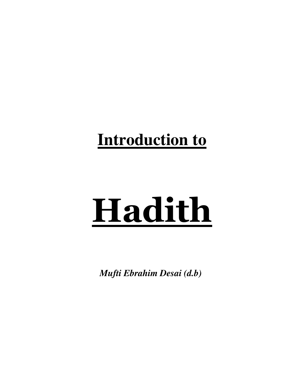# **Introduction to**

# Hadith

*Mufti Ebrahim Desai (d.b)*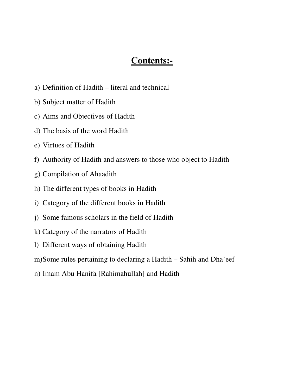# **Contents:-**

- a) Definition of Hadith literal and technical
- b) Subject matter of Hadith
- c) Aims and Objectives of Hadith
- d) The basis of the word Hadith
- e) Virtues of Hadith
- f) Authority of Hadith and answers to those who object to Hadith
- g) Compilation of Ahaadith
- h) The different types of books in Hadith
- i) Category of the different books in Hadith
- j) Some famous scholars in the field of Hadith
- k) Category of the narrators of Hadith
- l) Different ways of obtaining Hadith
- m) Some rules pertaining to declaring a Hadith Sahih and Dha'eef
- n) Imam Abu Hanifa [Rahimahullah] and Hadith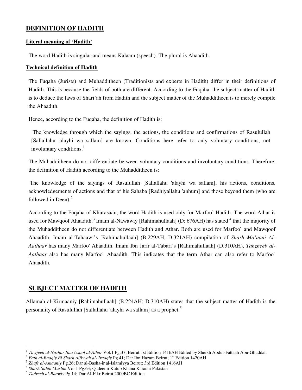# **DEFINITION OF HADITH**

# **Literal meaning of 'Hadith'**

The word Hadith is singular and means Kalaam (speech). The plural is Ahaadith.

# **Technical definition of Hadith**

The Fuqaha (Jurists) and Muhadditheen (Traditionists and experts in Hadith) differ in their definitions of Hadith. This is because the fields of both are different. According to the Fuqaha, the subject matter of Hadith is to deduce the laws of Shari'ah from Hadith and the subject matter of the Muhadditheen is to merely compile the Ahaadith.

Hence, according to the Fuqaha, the definition of Hadith is:

 The knowledge through which the sayings, the actions, the conditions and confirmations of Rasulullah [Sallallahu 'alayhi wa sallam] are known. Conditions here refer to only voluntary conditions, not involuntary conditions.<sup>1</sup>

The Muhadditheen do not differentiate between voluntary conditions and involuntary conditions. Therefore, the definition of Hadith according to the Muhadditheen is:

 The knowledge of the sayings of Rasulullah [Sallallahu 'alayhi wa sallam], his actions, conditions, acknowledgements of actions and that of his Sahaba [Radhiyallahu 'anhum] and those beyond them (who are followed in Deen). $2$ 

According to the Fuqaha of Khurasaan, the word Hadith is used only for Marfoo` Hadith. The word Athar is used for Mawqoof Ahaadith.<sup>3</sup> Imam al-Nawawiy [Rahimahullaah] (D: 676AH) has stated <sup>4</sup> that the majority of the Muhadditheen do not differentiate between Hadith and Athar. Both are used for Marfoo` and Mawqoof Ahaadith. Imam al-Tahaawi's [Rahimahullaah] (B.229AH, D.321AH) compilation of *Sharh Ma'aani Al-Aathaar* has many Marfoo' Ahaadith. Imam Ibn Jarir al-Tabari's [Rahimahullaah] (D.310AH), *Tahzheeb al-Aathaar* also has many Marfoo` Ahaadith. This indicates that the term Athar can also refer to Marfoo` Ahaadith.

# **SUBJECT MATTER OF HADITH**

 $\overline{a}$ 

Allamah al-Kirmaaniy [Rahimahullaah] (B.224AH; D.310AH) states that the subject matter of Hadith is the personality of Rasulullah [Sallallahu 'alayhi wa sallam] as a prophet.<sup>5</sup>

<sup>1</sup> *Tawjeeh al-Nazhar Ilaa Usool al-Athar* Vol.1 Pg.37; Beirut 1st Edition 1416AH Edited by Sheikh Abdul-Fattaah Abu-Ghuddah

<sup>&</sup>lt;sup>2</sup> Fath al-Baaqiy Bi Sharh Alfiyyah al-'Iraaqiy Pg.41; Dar Ibn Hazam Beirut; 1<sup>st</sup> Edition 1420AH

<sup>3</sup> *Zhafr al-Amaaniy* Pg.26; Dar al-Basha-ir al-Islamiyya Beirut; 3rd Edition 1416AH

<sup>4</sup> *Sharh Sahih Muslim* Vol.1 Pg.63; Qadeemi Kutub Khana Karachi Pakistan

<sup>5</sup> *Tadreeb al-Raawiy* Pg.14; Dar Al-Fikr Beirut 2000BC Edition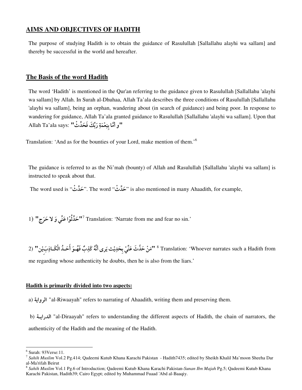# **AIMS AND OBJECTIVES OF HADITH**

The purpose of studying Hadith is to obtain the guidance of Rasulullah [Sallallahu alayhi wa sallam] and thereby be successful in the world and hereafter.

# **The Basis of the word Hadith**

The word 'Hadith' is mentioned in the Qur'an referring to the guidance given to Rasulullah [Sallallahu 'alayhi wa sallam] by Allah. In Surah al-Dhuhaa, Allah Ta'ala describes the three conditions of Rasulullah [Sallallahu 'alayhi wa sallam], being an orphan, wandering about (in search of guidance) and being poor. In response to wandering for guidance, Allah Ta'ala granted guidance to Rasulullah [Sallallahu 'alayhi wa sallam]. Upon that ا"و أَمَّا بِنِعْمَةِ رَبِّكَ فَحَدِّثْ" :Allah Ta'ala says  $\ddot{\cdot}$ 

Translation: 'And as for the bounties of your Lord, make mention of them.'<sup>6</sup>

The guidance is referred to as the Ni'mah (bounty) of Allah and Rasulullah [Sallallahu 'alayhi wa sallam] is instructed to speak about that.

The word used is "حَدَث". The word "حَدَث" is also mentioned in many Ahaadith, for example,

1) "حَدَّثُوْا عَنِّي وَ لا حَرَج" Translation: 'Narrate from me and fear no sin.'

2) "آمَنْ حَلَّثَ عَنِّيْ بِحَدِيْتْ يَرى أَنَّهُ كَذِبٌ فَهُــوَ أَحَــدُ الْكَــاذِبَيْن" (2<br>Translation: 'Whoever narrates such a Hadith from ڊ me regarding whose authenticity he doubts, then he is also from the liars.'

# **Hadith is primarily divided into two aspects:**

a) "al-Riwaayah" refers to narrating of Ahaadith, writing them and preserving them.

b) "al-Diraayah" refers to understanding the different aspects of Hadith, the chain of narrators, the authenticity of the Hadith and the meaning of the Hadith.

 6 Surah: 93Verse:11.

<sup>7</sup> *Sahih Muslim* Vol.2 Pg.414; Qadeemi Kutub Khana Karachi Pakistan - Hadith7435; edited by Sheikh Khalil Ma'moon Sheeha Dar al-Ma'rifah Beirut

<sup>8</sup> *Sahih Muslim* Vol.1 Pg.6 of Introduction; Qadeemi Kutub Khana Karachi Pakistan-*Sunan Ibn Majah* Pg.5; Qadeemi Kutub Khana Karachi Pakistan, Hadith39; Cairo Egypt; edited by Muhammad Fuaad 'Abd al-Baaqiy.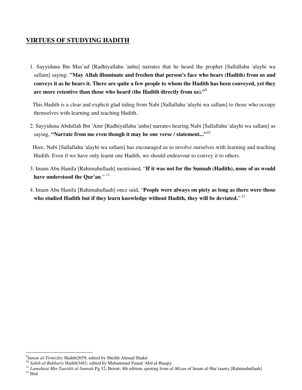# **VIRTUES OF STUDYING HADITH**

1. Sayyiduna Ibn Mas'ud [Radhiyallahu 'anhu] narrates that he heard the prophet [Sallallahu 'alayhi wa sallam] saying: **"May Allah illuminate and freshen that person's face who hears (Hadith) from us and conveys it as he hears it. There are quite a few people to whom the Hadith has been conveyed, yet they are more retentive than those who heard (the Hadith directly from us)."**<sup>9</sup>

This Hadith is a clear and explicit glad tiding from Nabi [Sallallahu 'alayhi wa sallam] to those who occupy themselves with learning and teaching Hadith.

2. Sayyiduna Abdullah Ibn 'Amr [Radhiyallahu 'anhu] narrates hearing Nabi [Sallallahu 'alayhi wa sallam] as saying, **"Narrate from me even though it may be one verse / statement..."**<sup>10</sup>

 Here, Nabi [Sallallahu 'alayhi wa sallam] has encouraged us to involve ourselves with learning and teaching Hadith. Even if we have only learnt one Hadith, we should endeavour to convey it to others.

- 3. Imam Abu Hanifa [Rahimahullaah] mentioned, "**If it was not for the Sunnah (Hadith), none of us would have understood the Qur'an**." <sup>11</sup>
- 4. Imam Abu Hanifa [Rahimahullaah] once said, "**People were always on piety as long as there were those**  who studied Hadith but if they learn knowledge without Hadith, they will be deviated."<sup>12</sup>

 9 *Sunan al-Tirmizhiy* Hadith2659; edited by Sheikh Ahmad Shakir

<sup>10</sup> *Sahih al-Bukhariy* Hadith3461; edited by Muhammad Fuaad 'Abd al-Baaqiy

<sup>11</sup> *Lamahaat Min Taarikh al-Sunnah* Pg.32; Beirut; 4th edition, quoting from *al-Mizan* of Imam al-Sha'raaniy [Rahimahullaah]  $12$  Ibid.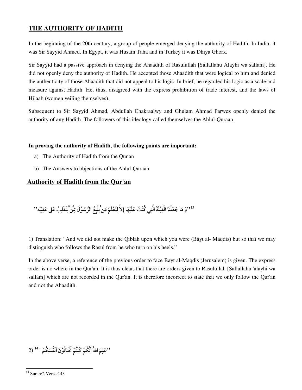# **THE AUTHORITY OF HADITH**

In the beginning of the 20th century, a group of people emerged denying the authority of Hadith. In India, it was Sir Sayyid Ahmed. In Egypt, it was Husain Taha and in Turkey it was Dhiya Ghork.

Sir Sayyid had a passive approach in denying the Ahaadith of Rasulullah [Sallallahu Alayhi wa sallam]. He did not openly deny the authority of Hadith. He accepted those Ahaadith that were logical to him and denied the authenticity of those Ahaadith that did not appeal to his logic. In brief, he regarded his logic as a scale and measure against Hadith. He, thus, disagreed with the express prohibition of trade interest, and the laws of Hijaab (women veiling themselves).

Subsequent to Sir Sayyid Ahmad, Abdullah Chakraalwy and Ghulam Ahmad Parwez openly denied the authority of any Hadith. The followers of this ideology called themselves the Ahlul-Quraan.

# **In proving the authority of Hadith, the following points are important:**

- a) The Authority of Hadith from the Qur'an
- b) The Answers to objections of the Ahlul-Quraan

# **Authority of Hadith from the Qur'an**

1'3°وَ مَا جَعَلْنَا الْقِبْلَةَ الَّتِي كُنْتَ عَلَيْهَا إلاَّ لِنَعْلَمَ مَن َّيَتَّبِعُ الرَّسُوْلَ مِنَّ يَنْقَلِبُ عَلى عَقِبَيْه " --

1) Translation: "And we did not make the Qiblah upon which you were (Bayt al- Maqdis) but so that we may distinguish who follows the Rasul from he who turn on his heels."

In the above verse, a reference of the previous order to face Bayt al-Maqdis (Jerusalem) is given. The express order is no where in the Qur'an. It is thus clear, that there are orders given to Rasulullah [Sallallahu 'alayhi wa sallam] which are not recorded in the Qur'an. It is therefore incorrect to state that we only follow the Qur'an and not the Ahaadith.

"عَلِمَ اللهُ أَنَّكُمْ كُنْتُمْ تَخْتَانُوْنَ أَنْفُسَكُمْ "<sup>14</sup> (2

 $\overline{a}$ <sup>13</sup> Surah:2 Verse:143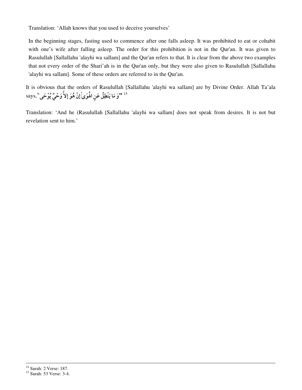Translation: 'Allah knows that you used to deceive yourselves'

In the beginning stages, fasting used to commence after one falls asleep. It was prohibited to eat or cohabit with one's wife after falling asleep. The order for this prohibition is not in the Qur'an. It was given to Rasulullah [Sallallahu 'alayhi wa sallam] and the Qur'an refers to that. It is clear from the above two examples that not every order of the Shari'ah is in the Qur'an only, but they were also given to Rasulullah [Sallallahu 'alayhi wa sallam]. Some of these orders are referred to in the Qur'an.

It is obvious that the orders of Rasulullah [Sallallahu 'alayhi wa sallam] are by Divine Order. Allah Ta'ala <sup>15</sup> "وَ مَا يَنْطِقُ عَنِ الْمُوَىٰأَ إِنْ هُوَ إِلاَّ وَحْيٌّ يُوْحَى",says

Translation: 'And he (Rasulullah [Sallallahu 'alayhi wa sallam] does not speak from desires. It is not but revelation sent to him.'

<sup>14</sup> Surah: 2 Verse: 187.

<sup>&</sup>lt;sup>15</sup> Surah: 53 Verse: 3-4.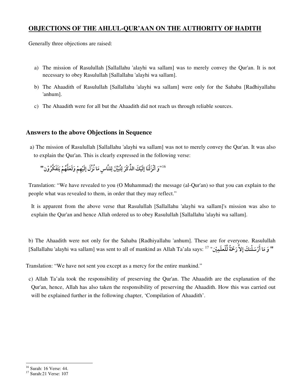# **OBJECTIONS OF THE AHLUL-QUR'AAN ON THE AUTHORITY OF HADITH**

Generally three objections are raised:

- a) The mission of Rasulullah [Sallallahu 'alayhi wa sallam] was to merely convey the Qur'an. It is not necessary to obey Rasulullah [Sallallahu 'alayhi wa sallam].
- b) The Ahaadith of Rasulullah [Sallallahu 'alayhi wa sallam] were only for the Sahaba [Radhiyallahu 'anhum].
- c) The Ahaadith were for all but the Ahaadith did not reach us through reliable sources.

# **Answers to the above Objections in Sequence**

a) The mission of Rasulullah [Sallallahu 'alayhi wa sallam] was not to merely convey the Qur'an. It was also to explain the Qur'an. This is clearly expressed in the following verse:

 $^{116}$ وَ أَنْزَلْنَا إِلَيْكَ الذِّكْرَ لِتُبَيِّنَ لِلنَّاسِ مَا نُزِّلَ إِلَيْهِمْ وَلَعَلَّهُمْ يَتَفَكَّرُوْن '' -

Translation: "We have revealed to you (O Muhammad) the message (al-Qur'an) so that you can explain to the people what was revealed to them, in order that they may reflect."

It is apparent from the above verse that Rasulullah [Sallallahu 'alayhi wa sallam]'s mission was also to explain the Qur'an and hence Allah ordered us to obey Rasulullah [Sallallahu 'alayhi wa sallam].

b) The Ahaadith were not only for the Sahaba [Radhiyallahu 'anhum]. These are for everyone. Rasulullah " وَ مَا أَرْسَلْنكَ إِلاَّ رَحْمَةً لِّلْعلَمِيْن" '' [Sallallahu 'alayhi wa sallam] was sent to all of mankind as Allah Ta'ala says: '

Translation: "We have not sent you except as a mercy for the entire mankind."

 c) Allah Ta'ala took the responsibility of preserving the Qur'an. The Ahaadith are the explanation of the Qur'an, hence, Allah has also taken the responsibility of preserving the Ahaadith. How this was carried out will be explained further in the following chapter, 'Compilation of Ahaadith'.

<sup>16</sup> Surah: 16 Verse: 44.

<sup>17</sup> Surah:21 Verse: 107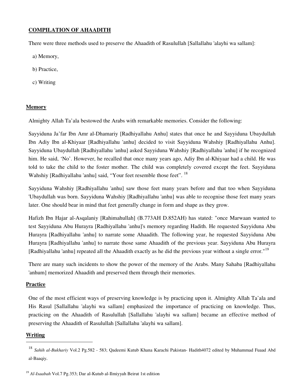# **COMPILATION OF AHAADITH**

There were three methods used to preserve the Ahaadith of Rasulullah [Sallallahu 'alayhi wa sallam]:

- a) Memory,
- b) Practice,
- c) Writing

# **Memory**

Almighty Allah Ta'ala bestowed the Arabs with remarkable memories. Consider the following:

Sayyiduna Ja'far Ibn Amr al-Dhamariy [Radhiyallahu Anhu] states that once he and Sayyiduna Ubaydullah Ibn Adiy Ibn al-Khiyaar [Radhiyallahu 'anhu] decided to visit Sayyiduna Wahshiy [Radhiyallahu Anhu]. Sayyiduna Ubaydullah [Radhiyallahu 'anhu] asked Sayyiduna Wahshiy [Radhiyallahu 'anhu] if he recognized him. He said, 'No'. However, he recalled that once many years ago, Adiy Ibn al-Khiyaar had a child. He was told to take the child to the foster mother. The child was completely covered except the feet. Sayyiduna Wahshiy [Radhiyallahu 'anhu] said, "Your feet resemble those feet". <sup>18</sup>

Sayyiduna Wahshiy [Radhiyallahu 'anhu] saw those feet many years before and that too when Sayyiduna 'Ubaydullah was born. Sayyiduna Wahshiy [Radhiyallahu 'anhu] was able to recognise those feet many years later. One should bear in mind that feet generally change in form and shape as they grow.

Hafizh Ibn Hajar al-Asqalaniy [Rahimahullah] (B.773AH D.852AH) has stated: "once Marwaan wanted to test Sayyiduna Abu Hurayra [Radhiyallahu 'anhu]'s memory regarding Hadith. He requested Sayyiduna Abu Hurayra [Radhiyallahu 'anhu] to narrate some Ahaadith. The following year, he requested Sayyiduna Abu Hurayra [Radhiyallahu 'anhu] to narrate those same Ahaadith of the previous year. Sayyiduna Abu Hurayra [Radhiyallahu 'anhu] repeated all the Ahaadith exactly as he did the previous year without a single error."<sup>19</sup>

There are many such incidents to show the power of the memory of the Arabs. Many Sahaba [Radhiyallahu 'anhum] memorized Ahaadith and preserved them through their memories.

# **Practice**

One of the most efficient ways of preserving knowledge is by practicing upon it. Almighty Allah Ta'ala and His Rasul [Sallallahu 'alayhi wa sallam] emphasized the importance of practicing on knowledge. Thus, practicing on the Ahaadith of Rasulullah [Sallallahu 'alayhi wa sallam] became an effective method of preserving the Ahaadith of Rasulullah [Sallallahu 'alayhi wa sallam].

# **Writing**

<sup>18</sup> *Sahih al-Bukhariy* Vol.2 Pg.582 - 583; Qadeemi Kutub Khana Karachi Pakistan- Hadith4072 edited by Muhammad Fuaad Abd al-Baaqiy.

<sup>19</sup> *Al-Isaabah* Vol.7 Pg.353; Dar al-Kutub al-Ilmiyyah Beirut 1st edition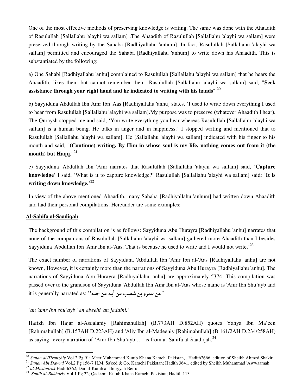One of the most effective methods of preserving knowledge is writing. The same was done with the Ahaadith of Rasulullah [Sallallahu 'alayhi wa sallam] .The Ahaadith of Rasulullah [Sallallahu 'alayhi wa sallam] were preserved through writing by the Sahaba [Radhiyallahu 'anhum]. In fact, Rasulullah [Sallallahu 'alayhi wa sallam] permitted and encouraged the Sahaba [Radhiyallahu 'anhum] to write down his Ahaadith. This is substantiated by the following:

a) One Sahabi [Radhiyallahu 'anhu] complained to Rasulullah [Sallallahu 'alayhi wa sallam] that he hears the Ahaadith, likes them but cannot remember them. Rasulullah [Sallallahu 'alayhi wa sallam] said, "**Seek assistance through your right hand and he indicated to writing with his hands**".<sup>20</sup>

b) Sayyiduna Abdullah Ibn Amr Ibn 'Aas [Radhiyallahu 'anhu] states, 'I used to write down everything I used to hear from Rasulullah [Sallallahu 'alayhi wa sallam].My purpose was to preserve (whatever Ahaadith I hear). The Quraysh stopped me and said, 'You write everything you hear whereas Rasulullah [Sallallahu 'alayhi wa sallam] is a human being. He talks in anger and in happiness.' I stopped writing and mentioned that to Rasulullah [Sallallahu 'alayhi wa sallam]. He [Sallallahu 'alayhi wa sallam] indicated with his finger to his mouth and said, "**(Continue) writing. By Him in whose soul is my life, nothing comes out from it (the mouth) but Haqq**."<sup>21</sup>

c) Sayyiduna 'Abdullah Ibn 'Amr narrates that Rasulullah [Sallallahu 'alayhi wa sallam] said, '**Capture knowledge**' I said, 'What is it to capture knowledge?' Rasulullah [Sallallahu 'alayhi wa sallam] said: '**It is writing down knowledge.**' 22

In view of the above mentioned Ahaadith, many Sahaba [Radhiyallahu 'anhum] had written down Ahaadith and had their personal compilations. Hereunder are some examples:

# **Al-Sahifa al-Saadiqah**

The background of this compilation is as follows: Sayyiduna Abu Hurayra [Radhiyallahu 'anhu] narrates that none of the companions of Rasulullah [Sallallahu 'alayhi wa sallam] gathered more Ahaadith than I besides Sayyiduna 'Abdullah Ibn 'Amr Ibn al-'Aas. That is because he used to write and I would not write.<sup>23</sup>

The exact number of narrations of Sayyiduna 'Abdullah Ibn 'Amr Ibn al-'Aas [Radhiyallahu 'anhu] are not known, However, it is certainly more than the narrations of Sayyiduna Abu Hurayra [Radhiyallahu 'anhu]. The narrations of Sayyiduna Abu Hurayra [Radhiyallahu 'anhu] are approximately 5374. This compilation was passed over to the grandson of Sayyiduna 'Abdullah Ibn Amr Ibn al-'Aas whose name is 'Amr Ibn Shu'ayb and it is generally narrated as: **"اعن عمرو بن شعيب عن أبيه عن جده"** 

*'an 'amr Ibn shu'ayb `an abeehi 'an jaddihi.'*

Hafizh Ibn Hajar al-Asqalaniy [Rahimahullah] (B.773AH D.852AH) quotes Yahya Ibn Ma'een [Rahimahullah] (B.157AH D.223AH) and 'Aliy Ibn al-Madeeniy [Rahimahullah] (B.161/2AH D.234/258AH) as saying "every narration of 'Amr Ibn Shu'ayb  $\ldots$ ' is from al-Sahifa al-Saadiqah.<sup>24</sup>

 $\ddot{\phantom{a}}$ <sup>20</sup> Sunan al-Tirmizhiy Vol.2 Pg.91; Meer Muhammad Kutub Khana Karachi Pakistan, , Hadith2666, edition of Sheikh Ahmed Shakir

<sup>&</sup>lt;sup>21</sup> Sunan Abi Dawud Vol.2 Pg.156-7 H.M. Sa'eed & Co. Karachi Pakistan; Hadith 3641, edited by Sheikh Muhammad 'Awwaamah

<sup>22</sup> *al-Mustadrak* Hadith362; Dar al-Kutub al-Ilmiyyah Beirut

<sup>23</sup> *Sahih al-Bukhariy* Vol.1 Pg.22; Qadeemi Kutub Khana Karachi Pakistan; Hadith 113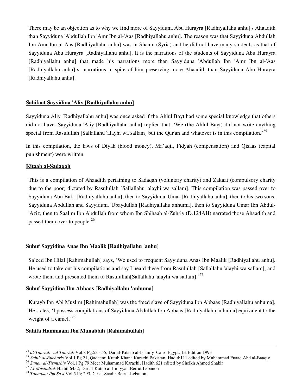There may be an objection as to why we find more of Sayyiduna Abu Hurayra [Radhiyallahu anhu]'s Ahaadith than Sayyiduna 'Abdullah Ibn 'Amr Ibn al-'Aas [Radhiyallahu anhu]. The reason was that Sayyiduna Abdullah Ibn Amr Ibn al-Aas [Radhiyallahu anhu] was in Shaam (Syria) and he did not have many students as that of Sayyiduna Abu Hurayra [Radhiyallahu anhu]. It is the narrations of the students of Sayyiduna Abu Hurayra [Radhiyallahu anhu] that made his narrations more than Sayyiduna 'Abdullah Ibn 'Amr Ibn al-'Aas [Radhiyallahu anhu]'s narrations in spite of him preserving more Ahaadith than Sayyiduna Abu Hurayra [Radhiyallahu anhu].

# **Sahifaat Sayyidina 'Aliy [Radhiyallahu anhu]**

Sayyiduna Aliy [Radhiyallahu anhu] was once asked if the Ahlul Bayt had some special knowledge that others did not have. Sayyiduna 'Aliy [Radhiyallahu anhu] replied that, 'We (the Ahlul Bayt) did not write anything special from Rasulullah [Sallallahu 'alayhi wa sallam] but the Qur'an and whatever is in this compilation.<sup>'25</sup>

In this compilation, the laws of Diyah (blood money), Ma'aqil, Fidyah (compensation) and Qisaas (capital punishment) were written.

# **Kitaab al-Sadaqah**

 $\overline{a}$ 

This is a compilation of Ahaadith pertaining to Sadaqah (voluntary charity) and Zakaat (compulsory charity due to the poor) dictated by Rasulullah [Sallallahu 'alayhi wa sallam]. This compilation was passed over to Sayyiduna Abu Bakr [Radhiyallahu anhu], then to Sayyiduna 'Umar [Radhiyallahu anhu], then to his two sons, Sayyiduna Abdullah and Sayyiduna 'Ubaydullah [Radhiyallahu anhuma], then to Sayyiduna Umar Ibn Abdul- 'Aziz, then to Saalim Ibn Abdullah from whom Ibn Shihaab al-Zuhriy (D.124AH) narrated those Ahaadith and passed them over to people.<sup>26</sup>

# **Suhuf Sayyidina Anas Ibn Maalik [Radhiyallahu 'anhu]**

Sa'eed Ibn Hilal [Rahimahullah] says, 'We used to frequent Sayyiduna Anas Ibn Maalik [Radhiyallahu anhu]. He used to take out his compilations and say I heard these from Rasulullah [Sallallahu 'alayhi wa sallam], and wrote them and presented them to Rasulullah[Sallallahu 'alayhi wa sallam].<sup>'27</sup>

# **Suhuf Sayyidina Ibn Abbaas [Radhiyallahu 'anhuma]**

Kurayb Ibn Abi Muslim [Rahimahullah] was the freed slave of Sayyiduna Ibn Abbaas [Radhiyallahu anhuma]. He states, 'I possess compilations of Sayyiduna Abdullah Ibn Abbaas [Radhiyallahu anhuma] equivalent to the weight of a camel.<sup>28</sup>

# **Sahifa Hammaam Ibn Munabbih [Rahimahullah]**

<sup>24</sup> *al-Tahzhib wal Tahzhib* Vol.8 Pg.53 - 55; Dar al-Kitaab al-Islamiy Cairo Egypt; 1st Edition 1993

<sup>&</sup>lt;sup>25</sup> Sahih al-Bukhariy Vol.1 Pg.21; Qadeemi Kutub Khana Karachi Pakistan; Hadith111 edited by Muhammad Fuaad Abd al-Baaqiy.

<sup>26</sup> *Sunan al-Tirmizhiy* Vol.1 Pg.79 Meer Muhammad Karachi; Hadith 621 edited by Sheikh Ahmed Shakir

<sup>27</sup> *Al-Mustadrak* Hadith6452; Dar al-Kutub al-Ilmiyyah Beirut Lebanon

<sup>28</sup> *Tabaqaat Ibn Sa'd* Vol.5 Pg.293 Dar al-Saadir Beirut Lebanon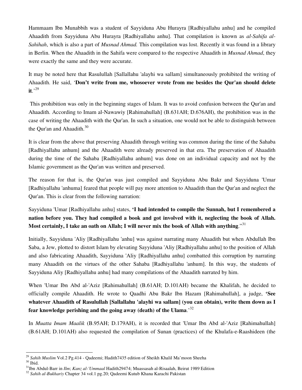Hammaam Ibn Munabbih was a student of Sayyiduna Abu Hurayra [Radhiyallahu anhu] and he compiled Ahaadith from Sayyiduna Abu Hurayra [Radhiyallahu anhu]. That compilation is known as *al-Sahifa al-Sahihah*, which is also a part of *Musnad Ahmad.* This compilation was lost. Recently it was found in a library in Berlin. When the Ahaadith in the Sahifa were compared to the respective Ahaadith in *Musnad Ahmad*, they were exactly the same and they were accurate.

It may be noted here that Rasulullah [Sallallahu 'alayhi wa sallam] simultaneously prohibited the writing of Ahaadith. He said, '**Don't write from me, whosoever wrote from me besides the Qur'an should delete**   $\mathbf{it}$ <sup>.29</sup>

This prohibition was only in the beginning stages of Islam. It was to avoid confusion between the Qur'an and Ahaadith. According to Imam al-Nawawiy [Rahimahullah] (B.631AH; D.676AH), the prohibition was in the case of writing the Ahaadith with the Qur'an. In such a situation, one would not be able to distinguish between the Qur'an and Ahaadith. $30$ 

It is clear from the above that preserving Ahaadith through writing was common during the time of the Sahaba [Radhiyallahu anhum] and the Ahaadith were already preserved in that era. The preservation of Ahaadith during the time of the Sahaba [Radhiyallahu anhum] was done on an individual capacity and not by the Islamic government as the Qur'an was written and preserved.

The reason for that is, the Qur'an was just compiled and Sayyiduna Abu Bakr and Sayyiduna 'Umar [Radhiyallahu 'anhuma] feared that people will pay more attention to Ahaadith than the Qur'an and neglect the Qur'an. This is clear from the following narration:

Sayyiduna 'Umar [Radhiyallahu anhu] states, **'I had intended to compile the Sunnah, but I remembered a nation before you. They had compiled a book and got involved with it, neglecting the book of Allah. Most certainly, I take an oath on Allah; I will never mix the book of Allah with anything**."<sup>31</sup>

Initially, Sayyiduna 'Aliy [Radhiyallahu 'anhu] was against narrating many Ahaadith but when Abdullah Ibn Saba, a Jew, plotted to distort Islam by elevating Sayyiduna 'Aliy [Radhiyallahu anhu] to the position of Allah and also fabricating Ahaadith, Sayyiduna 'Aliy [Radhiyallahu anhu] combatted this corruption by narrating many Ahaadith on the virtues of the other Sahaba [Radhiyallahu 'anhum]. In this way, the students of Sayyiduna Aliy [Radhiyallahu anhu] had many compilations of the Ahaadith narrated by him.

When 'Umar Ibn Abd al-'Aziz [Rahimahullah] (B.61AH; D.101AH) became the Khalifah, he decided to officially compile Ahaadith. He wrote to Qaadhi Abu Bakr Ibn Hazam [Rahimahullah], a judge, **'See whatever Ahaadith of Rasulullah [Sallallahu 'alayhi wa sallam] (you can obtain), write them down as I fear knowledge perishing and the going away (death) of the Ulama**.'<sup>32</sup>

In *Muatta Imam Maalik* (B.95AH; D.179AH), it is recorded that 'Umar Ibn Abd al-'Aziz [Rahimahullah] (B.61AH; D.101AH) also requested the compilation of Sunan (practices) of the Khulafa-e-Raashideen (the

 $\overline{a}$ <sup>29</sup> Sahih Muslim Vol.2 Pg.414 - Qadeemi; Hadith7435 edition of Sheikh Khalil Ma'moon Sheeha

 $^{30}$  Ibid.

<sup>31</sup>Ibn Abdul-Barr in *Ilm*; *Kanz al-'Ummaal* Hadith29474; Muassasah al-Risaalah, Beirut 1989 Edition

<sup>32</sup> *Sahih al-Bukhariy* Chapter 34 vol.1 pg.20; Qadeemi Kutub Khana Karachi Pakistan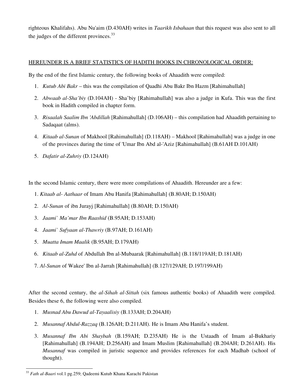righteous Khalifahs). Abu Nu'aim (D.430AH) writes in *Taarikh Isbahaan* that this request was also sent to all the judges of the different provinces.<sup>33</sup>

# HEREUNDER IS A BRIEF STATISTICS OF HADITH BOOKS IN CHRONOLOGICAL ORDER:

By the end of the first Islamic century, the following books of Ahaadith were compiled:

- 1. *Kutub Abi Bakr* this was the compilation of Qaadhi Abu Bakr Ibn Hazm [Rahimahullah]
- 2. *Abwaab al-Sha'biy* (D.104AH) Sha'biy [Rahimahullah] was also a judge in Kufa. This was the first book in Hadith compiled in chapter form.
- 3. *Risaalah Saalim Ibn 'Abdillah* [Rahimahullah] (D.106AH) this compilation had Ahaadith pertaining to Sadaqaat (alms).
- 4. *Kitaab al-Sunan* of Makhool [Rahimahullah] (D.118AH) Makhool [Rahimahullah] was a judge in one of the provinces during the time of 'Umar Ibn Abd al-'Aziz [Rahimahullah] (B.61AH D.101AH)
- 5. *Dafatir al-Zuhriy* (D.124AH)

In the second Islamic century, there were more compilations of Ahaadith. Hereunder are a few:

- 1. *Kitaab al- Aathaar* of Imam Abu Hanifa [Rahimahullah] (B.80AH; D.150AH)
- 2. *Al-Sunan* of ibn Jurayj [Rahimahullah] (B.80AH; D.150AH)
- 3. *Jaami` Ma'mar Ibn Raashid* (B.95AH; D.153AH)
- 4. *Jaami` Sufyaan al-Thawriy* (B.97AH; D.161AH)
- 5. *Muatta Imam Maalik* (B.95AH; D.179AH)
- 6. *Kitaab al-Zuhd* of Abdullah Ibn al-Mubaarak [Rahimahullah] (B.118/119AH; D.181AH)
- 7. *Al-Sunan* of Wakee' Ibn al-Jarrah [Rahimahullah] (B.127/129AH; D.197/199AH)

After the second century, the *al-Sihah al-Sittah* (six famous authentic books) of Ahaadith were compiled. Besides these 6, the following were also compiled.

- 1. *Musnad Abu Dawud al-Tayaalisiy* (B.133AH; D.204AH)
- 2. *Musannaf Abdul-Razzaq* (B.126AH; D.211AH). He is Imam Abu Hanifa's student.
- 3. *Musannaf Ibn Abi Shaybah* (B.159AH; D.235AH) He is the Ustaadh of Imam al-Bukhariy [Rahimahullah] (B.194AH; D.256AH) and Imam Muslim [Rahimahullah] (B.204AH; D.261AH). His *Musannaf* was compiled in juristic sequence and provides references for each Madhab (school of thought).

 $\overline{a}$ <sup>33</sup> *Fath al-Baari* vol.1 pg.259; Qadeemi Kutub Khana Karachi Pakistan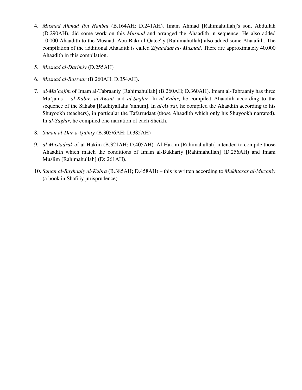- 4. *Musnad Ahmad Ibn Hanbal* (B.164AH; D.241AH). Imam Ahmad [Rahimahullah]'s son, Abdullah (D.290AH), did some work on this *Musnad* and arranged the Ahaadith in sequence. He also added 10,000 Ahaadith to the Musnad. Abu Bakr al-Qatee'iy [Rahimahullah] also added some Ahaadith. The compilation of the additional Ahaadith is called *Ziyaadaat al- Musnad*. There are approximately 40,000 Ahaadith in this compilation.
- 5. *Musnad al-Darimiy* (D.255AH)
- 6. *Musnad al-Bazzaar* (B.260AH; D.354AH).
- 7. *al-Ma'aajim* of Imam al-Tabraaniy [Rahimahullah] (B.260AH; D.360AH). Imam al-Tabraaniy has three Mu'jams – *al-Kabir*, *al-Awsat* and *al-Saghir*. In *al-Kabir*, he compiled Ahaadith according to the sequence of the Sahaba [Radhiyallahu 'anhum]. In *al-Awsat*, he compiled the Ahaadith according to his Shuyookh (teachers), in particular the Tafarrudaat (those Ahaadith which only his Shuyookh narrated). In *al-Saghir*, he compiled one narration of each Sheikh.
- 8. *Sunan al-Dar-a-Qutni*y (B.305/6AH; D.385AH)
- 9. *al-Mustadrak* of al-Hakim (B.321AH; D.405AH). Al-Hakim [Rahimahullah] intended to compile those Ahaadith which match the conditions of Imam al-Bukhariy [Rahimahullah] (D.256AH) and Imam Muslim [Rahimahullah] (D: 261AH).
- 10. *Sunan al-Bayhaqiy al-Kubra* (B.385AH; D.458AH) this is written according to *Mukhtasar al-Muzaniy* (a book in Shafi'iy jurisprudence).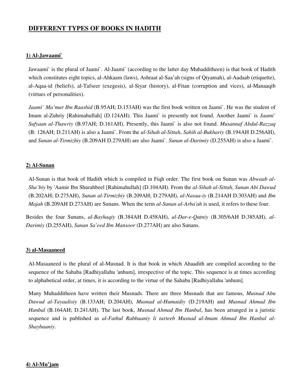# **DIFFERENT TYPES OF BOOKS IN HADITH**

#### **1) Al-Jawaami`**

Jawaami` is the plural of Jaami`. Al-Jaami` (according to the latter day Muhadditheen) is that book of Hadith which constitutes eight topics, al-Ahkaam (laws), Ashraat al-Saa'ah (signs of Qiyamah), al-Aadaab (etiquette), al-Aqaa-id (beliefs), al-Tafseer (exegesis), al-Siyar (history), al-Fitan (corruption and vices), al-Manaaqib (virtues of personalities).

*Jaami` Ma'mar Ibn Raashid* (B.95AH; D.153AH) was the first book written on Jaami`. He was the student of Imam al-Zuhriy [Rahimahullah] (D.124AH). This Jaami` is presently not found. Another Jaami` is *Jaami` Sufyaan al-Thawriy* (B.97AH; D.161AH). Presently, this Jaami` is also not found. *Musannaf Abdul-Razzaq* (B: 126AH; D.211AH) is also a Jaami`. From the *al-Sihah al-Sittah*, *Sahih al-Bukhariy* (B.194AH D.256AH), and *Sunan al-Tirmizhiy* (B.209AH D.279AH) are also Jaami`. *Sunan al-Darimiy* (D.255AH) is also a Jaami`.

#### **2) Al-Sunan**

Al-Sunan is that book of Hadith which is compiled in Fiqh order. The first book on Sunan was *Abwaab al-Sha'biy* by 'Aamir Ibn Shurahbeel [Rahimahullah] (D.104AH). From the *al-Sihah al-Sittah*, *Sunan Abi Dawud*  (B.202AH; D.275AH), *Sunan al-Tirmizhiy* (B.209AH; D.279AH), *al-Nasaa-iy* (B.214AH D.303AH) and *Ibn Majah* (B.209AH D.273AH) are Sunans. When the term *al-Sunan al-Arba'ah* is used, it refers to these four.

Besides the four Sunans, *al-Bayhaqiy* (B.384AH D.458AH), *al-Dar-e-Qutniy* (B.305/6AH D.385AH), *al-Darimiy* (D.255AH), *Sunan Sa'eed Ibn Mansoor* (D.277AH) are also Sunans.

#### **3) al-Masaaneed**

Al-Masaaneed is the plural of al-Musnad. It is that book in which Ahaadith are compiled according to the sequence of the Sahaba [Radhiyallahu 'anhum], irrespective of the topic. This sequence is at times according to alphabetical order, at times, it is according to the virtue of the Sahaba [Radhiyallahu 'anhum]*.*

Many Muhadditheen have written their Musnads. There are three Musnads that are famous, *Musnad Abu Dawud al-Tayaalisiy* (B.133AH; D.204AH), *Musnad al-Humaidiy* (D.219AH) and *Musnad Ahmad Ibn Hanbal* (B.164AH; D.241AH). The last book, *Musnad Ahmad Ibn Hanbal*, has been arranged in a juristic sequence and is published as *al-Fathul Rabbaaniy li tarteeb Musnad al-Imam Ahmad Ibn Hanbal al-Shaybaaniy*.

#### **4) Al-Mu'jam**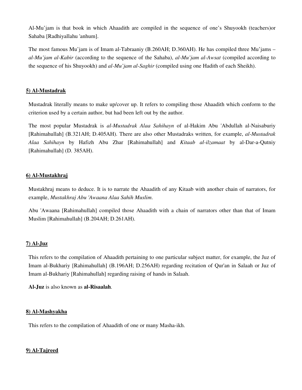Al-Mu'jam is that book in which Ahaadith are compiled in the sequence of one's Shuyookh (teachers)or Sahaba [Radhiyallahu 'anhum].

The most famous Mu'jam is of Imam al-Tabraaniy (B.260AH; D.360AH). He has compiled three Mu'jams – *al-Mu'jam al-Kabir* (according to the sequence of the Sahaba), *al-Mu'jam al-Awsat* (compiled according to the sequence of his Shuyookh) and *al-Mu'jam al-Saghir* (compiled using one Hadith of each Sheikh).

#### **5) Al-Mustadrak**

Mustadrak literally means to make up/cover up. It refers to compiling those Ahaadith which conform to the criterion used by a certain author, but had been left out by the author.

The most popular Mustadrak is *al-Mustadrak Alaa Sahihayn* of al-Hakim Abu 'Abdullah al-Naisaburiy [Rahimahullah] (B.321AH; D.405AH). There are also other Mustadraks written, for example, *al-Mustadrak Alaa Sahihayn* by Hafizh Abu Zhar [Rahimahullah] and *Kitaab al-ilzamaat* by al-Dar-a-Qutniy [Rahimahullah] (D. 385AH).

#### **6) Al-Mustakhraj**

Mustakhraj means to deduce. It is to narrate the Ahaadith of any Kitaab with another chain of narrators, for example, *Mustakhraj Abu 'Awaana Alaa Sahih Muslim*.

Abu 'Awaana [Rahimahullah] compiled those Ahaadith with a chain of narrators other than that of Imam Muslim [Rahimahullah] (B.204AH; D.261AH).

#### **7) Al-Juz**

This refers to the compilation of Ahaadith pertaining to one particular subject matter, for example, the Juz of Imam al-Bukhariy [Rahimahullah] (B.196AH; D.256AH) regarding recitation of Qur'an in Salaah or Juz of Imam al-Bukhariy [Rahimahullah] regarding raising of hands in Salaah.

**Al-Juz** is also known as **al-Risaalah**.

#### **8) Al-Mashyakha**

This refers to the compilation of Ahaadith of one or many Masha-ikh.

#### **9) Al-Tajreed**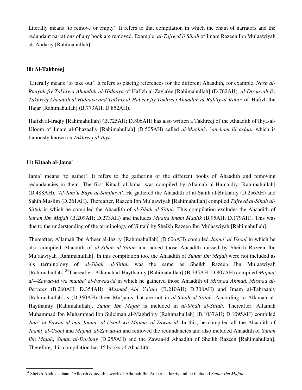Literally means 'to remove or empty'. It refers to that compilation in which the chain of narrators and the redundant narrations of any book are removed. Example: *al-Tajreed li Sihah* of Imam Razeen Ibn Mu'aawiyah al-'Abdariy [Rahimahullah]

#### **10) Al-Takhreej**

 Literally means 'to take out'. It refers to placing references for the different Ahaadith, for example, *Nasb al-Raayah fiy Takhreej Ahaadith al-Hidaaya* of Hafizh al-Zayla'ee [Rahimahullah] (D.762AH), *al-Diraayah fiy Takhreej Ahaadith al-Hidaaya and Talkhis al-Habeer fiy Takhreej Ahaadith al-Rafi'iy al-Kabir* of Hafizh Ibn Hajar [Rahimahullah] (B.773AH; D.852AH).

Hafizh al-Iraqiy [Rahimahullah] (B.725AH; D.806AH) has also written a Takhreej of the Ahaadith of Ihya-al-Uloom of Imam al-Ghazaaliy [Rahimahullah] (D.505AH) called *al-Mughniy `an ham lil asfaar* which is famously known as *Takhreej al-Ihya*.

#### **11) Kitaab al-Jama`**

Jama' means 'to gather'. It refers to the gathering of the different books of Ahaadith and removing redundancies in them. The first Kitaab al-Jama` was compiled by Allamah al-Humaidiy [Rahimahullah] (D.488AH), *'Al-Jam'u Bayn al-Sahihayn'*. He gathered the Ahaadith of al-Sahih al-Bukhariy (D.256AH) and Sahih Muslim (D.261AH). Thereafter, Razeen Ibn Mu'aawiyah [Rahimahullah] compiled *Tajreed al-Sihah al-Sittah* in which he compiled the Ahaadith of *al-Sihah al-Sittah*. This compilation excludes the Ahaadith of *Sunan Ibn Majah* (B.209AH; D.273AH) and includes *Muatta Imam Maalik* (B.95AH; D.179AH). This was due to the understanding of the terminology of 'Sittah' by Sheikh Razeen Ibn Mu'aawiyah [Rahimahullah].

Thereafter, Allamah Ibn Atheer al-Jazriy [Rahimahullah] (D.606AH) compiled *Jaami' al Usool* in which he also compiled Ahaadith of *al-Sihah al-Sittah* and added those Ahaadith missed by Sheikh Razeen Ibn Mu'aawiyah [Rahimahullah]. In this compilation too, the Ahaadith of *Sunan Ibn Majah* were not included as his terminology of *al-Sihah al-Sittah* was the same as Sheikh Razeen Ibn Mu'aawiyah [Rahimahullah].<sup>34</sup>Thereafter, Allamah al-Haythamiy [Rahimahullah] (B.735AH; D.807AH) compiled *Majma' al—Zawaa*-*id wa manba' al-Fawaa-id* in which he gathered those Ahaadith of *Musnad Ahmad*, *Musnad al-Bazzaar* (B.260AH; D.354AH), *Musnad Abi Ya'ala* (B.210AH; D.308AH) and Imam al-Tabraaniy [Rahimahullah].'s (D.360AH) three Mu'jams that are not in *al-Sihah al-Sittah*. According to Allamah al-Haythamiy [Rahimahullah], *Sunan Ibn Majah* is included in *al-Sihah al-Sittah*. Thereafter, Allamah Muhammad Ibn Muhammad Ibn Suleiman al-Maghribiy [Rahimahullah] (B.1037AH; D.1095AH) compiled *Jam` al-Fawaa-id min Jaami` al-Usool wa Majma' al-Zawaa-id*. In this, he compiled all the Ahaadith of *Jaami' al-Usool* and *Majma' al-Zawaa-id* and removed the redundancies and also included Ahaadith of *Sunan Ibn Majah*, *Sunan al-Darimiy* (D.255AH) and the Zawaa-id Ahaadith of Sheikh Razeen [Rahimahullah]. Therefore, this compilation has 15 books of Ahaadith.

 $\overline{a}$ <sup>34</sup> Sheikh Abdus-salaam `Alloosh edited this work of Allamah Ibn Atheer al-Jazriy and he included *Sunan Ibn Majah*.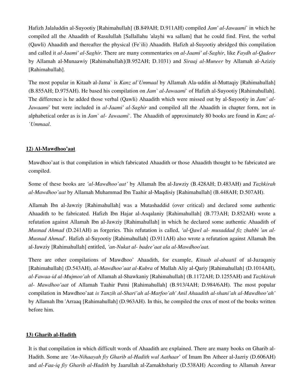Hafizh Jalaluddin al-Suyootiy [Rahimahullah] (B.849AH; D.911AH) compiled *Jam' al-Jawaami*` in which he compiled all the Ahaadith of Rasulullah [Sallallahu 'alayhi wa sallam] that he could find. First, the verbal (Qawli) Ahaadith and thereafter the physical (Fe`ili) Ahaadith. Hafizh al-Suyootiy abridged this compilation and called it *al-Jaami' al-Saghir*. There are many commentaries on *al-Jaami' al-Saghir*, like *Faydh al-Qadeer* by Allamah al-Munaawiy [Rahimahullah](B.952AH; D.1031) and *Siraaj al-Muneer* by Allamah al-Aziziy [Rahimahullah].

The most popular in Kitaab al-Jama` is *Kanz al`Ummaal* by Allamah Ala-uddin al-Muttaqiy [Rahimahullah] (B.855AH; D.975AH). He based his compilation on *Jam` al-Jawaami*` of Hafizh al-Suyootiy [Rahimahullah]. The difference is he added those verbal (Qawli) Ahaadith which were missed out by al-Suyootiy in *Jam' al-Jawaami'* but were included in *al-Jaami' al-Saghir* and compiled all the Ahaadith in chapter form, not in alphabetical order as is in *Jam` al- Jawaami*`. The Ahaadith of approximately 80 books are found in *Kanz al- `Ummaal*.

# **12) Al-Mawdhoo'aat**

Mawdhoo'aat is that compilation in which fabricated Ahaadith or those Ahaadith thought to be fabricated are compiled.

Some of these books are *'al-Mawdhoo'aat'* by Allamah Ibn al-Jawziy (B.428AH; D.483AH) and *Tazhkirah al-Mawdhoo'aat* by Allamah Muhammad Ibn Taahir al-Maqdisiy [Rahimahullah] (B.448AH; D.507AH).

Allamah Ibn al-Jawziy [Rahimahullah] was a Mutashaddid (over critical) and declared some authentic Ahaadith to be fabricated. Hafizh Ibn Hajar al-Asqalaniy [Rahimahullah] (B.773AH; D.852AH) wrote a refutation against Allamah Ibn al-Jawziy [Rahimahullah] in which he declared some authentic Ahaadith of *Musnad Ahmad* (D.241AH) as forgeries. This refutation is called, *'al-Qawl al- musaddad fiz zhabbi 'an al-Musnad Ahmad*'. Hafizh al-Suyootiy [Rahimahullah] (D.911AH) also wrote a refutation against Allamah Ibn al-Jawziy [Rahimahullah] entitled, *'an-Nukat al- badee'aat ala al-Mawdhoo'aat.*

There are other compilations of Mawdhoo' Ahaadith, for example, *Kitaab al-abaatil* of al-Juzaqaniy [Rahimahullah] (D.543AH), *al-Mawdhoo'aat al-Kubra* of Mullah Aliy al-Qariy [Rahimahullah] (D.1014AH), *al-Fawaa-id al-Mujmoo'ah* of Allamah al-Shawkaniy [Rahimahullah] (B.1172AH; D.1255AH) and *Tazhkirah al- Mawdhoo'aat* of Allamah Taahir Putni [Rahimahullah] (B.913/4AH; D.984/6AH). The most popular compilation in Mawdhoo'aat *is Tanzih al-Shari'ah al-Marfoo'ah' Anil Ahaadith al-shani'ah al-Mawdhoo'ah'* by Allamah Ibn 'Arraaq [Rahimahullah] (D.963AH). In this, he compiled the crux of most of the books written before him.

# **13) Gharib al-Hadith**

It is that compilation in which difficult words of Ahaadith are explained. There are many books on Gharib al-Hadith. Some are *'An-Nihaayah fiy Gharib al-Hadith wal Aathaar*' of Imam Ibn Atheer al-Jazriy (D.606AH) and *al-Faa-iq fiy Gharib al-Hadith* by Jaarullah al-Zamakhshariy (D.538AH) According to Allamah Anwar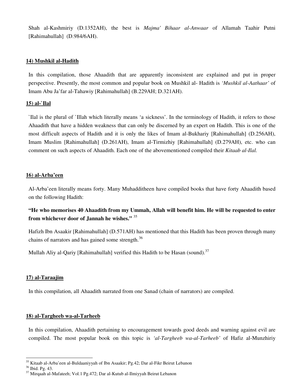Shah al-Kashmiriy (D.1352AH), the best is *Majma' Bihaar al-Anwaar* of Allamah Taahir Putni [Rahimahullah] (D.984/6AH).

#### **14) Mushkil al-Hadith**

In this compilation, those Ahaadith that are apparently inconsistent are explained and put in proper perspective. Presently, the most common and popular book on Mushkil al- Hadith is *'Mushkil al-Aathaar'* of Imam Abu Ja'far al-Tahawiy [Rahimahullah] (B.229AH; D.321AH).

#### **15) al-`Ilal**

`Ilal is the plural of `Illah which literally means 'a sickness'. In the terminology of Hadith, it refers to those Ahaadith that have a hidden weakness that can only be discerned by an expert on Hadith. This is one of the most difficult aspects of Hadith and it is only the likes of Imam al-Bukhariy [Rahimahullah] (D.256AH), Imam Muslim [Rahimahullah] (D.261AH), Imam al-Tirmizhiy [Rahimahullah] (D.279AH), etc. who can comment on such aspects of Ahaadith. Each one of the abovementioned compiled their *Kitaab al-Ilal.*

#### **16) al-Arba'een**

Al-Arba'een literally means forty. Many Muhadditheen have compiled books that have forty Ahaadith based on the following Hadith:

**"He who memorises 40 Ahaadith from my Ummah, Allah will benefit him. He will be requested to enter from whichever door of Jannah he wishes."** <sup>35</sup>

Hafizh Ibn Asaakir [Rahimahullah] (D.571AH) has mentioned that this Hadith has been proven through many chains of narrators and has gained some strength. $36$ 

Mullah Aliy al-Qariy [Rahimahullah] verified this Hadith to be Hasan (sound).<sup>37</sup>

# **17) al-Taraajim**

In this compilation, all Ahaadith narrated from one Sanad (chain of narrators) are compiled.

#### **18) al-Targheeb wa-al-Tarheeb**

In this compilation, Ahaadith pertaining to encouragement towards good deeds and warning against evil are compiled. The most popular book on this topic is *'al-Targheeb wa-al-Tarheeb'* of Hafiz al-Munzhiriy

 $\overline{a}$ <sup>35</sup> Kitaab al-Arba'een al-Buldaaniyyah of Ibn Asaakir; Pg.42; Dar al-Fikr Beirut Lebanon

<sup>36</sup> Ibid. Pg. 43.

<sup>37</sup> Mirqaah al-Mafateeh; Vol.1 Pg.472; Dar al-Kutub al-Ilmiyyah Beirut Lebanon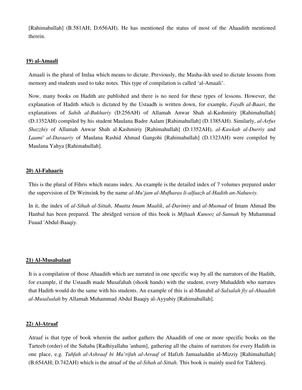[Rahimahullah] (B.581AH; D.656AH). He has mentioned the status of most of the Ahaadith mentioned therein.

#### **19) al-Amaali**

Amaali is the plural of Imlaa which means to dictate. Previously, the Masha-ikh used to dictate lessons from memory and students used to take notes. This type of compilation is called 'al-Amaali'.

Now, many books on Hadith are published and there is no need for these types of lessons. However, the explanation of Hadith which is dictated by the Ustaadh is written down, for example, *Faydh al-Baari*, the explanations of *Sahih al-Bukhariy* (D.256AH) of Allamah Anwar Shah al-Kashmiriy [Rahimahullah] (D.1352AH) compiled by his student Maulana Badre Aalam [Rahimahullah] (D.1385AH). Similarly, *al-Arfus Shazzhiy* of Allamah Anwar Shah al-Kashmiriy [Rahimahullah] (D.1352AH), *al-Kawkab al-Durriy* and *Laami' al-Daraariy* of Maulana Rashid Ahmad Gangohi [Rahimahullah] (D.1323AH) were compiled by Maulana Yahya [Rahimahullah].

#### **20) Al-Fahaaris**

This is the plural of Fihris which means index. An example is the detailed index of 7 volumes prepared under the supervision of Dr Weinsink by the name *al-Mu'jam al-Mufharas li-alfaazh al-Hadith an-Nabawiy.*

In it, the index of *al-Sihah al-Sittah*, *Muatta Imam Maalik*, *al-Darimiy* and *al-Musnad* of Imam Ahmad Ibn Hanbal has been prepared. The abridged version of this book is *Miftaah Kunooz al-Sunnah* by Muhammad Fuaad 'Abdul-Baaqiy.

#### **21) Al-Musalsalaat**

It is a compilation of those Ahaadith which are narrated in one specific way by all the narrators of the Hadith, for example, if the Ustaadh made Musafahah (shook hands) with the student, every Muhaddith who narrates that Hadith would do the same with his students. An example of this is al-Manahil *al-Salsalah fiy al-Ahaadith al-Musalsalah* by Allamah Muhammad Abdul Baaqiy al-Ayyubiy [Rahimahullah].

#### **22) Al-Atraaf**

Atraaf is that type of book wherein the author gathers the Ahaadith of one or more specific books on the Tarteeb (order) of the Sahaba [Radhiyallahu 'anhum], gathering all the chains of narrators for every Hadith in one place, e.g. *Tuhfah al-Ashraaf bi Ma'rifah al-Atraaf* of Hafizh Jamaaluddin al-Mizziy [Rahimahullah] (B.654AH; D.742AH) which is the atraaf of the *al-Sihah al-Sittah*. This book is mainly used for Takhreej.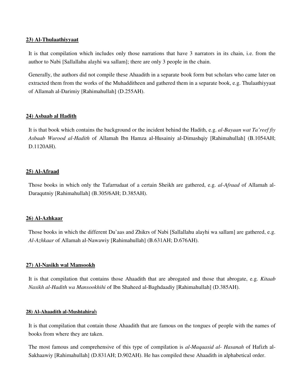#### **23) Al-Thulaathiyyaat**

It is that compilation which includes only those narrations that have 3 narrators in its chain, i.e. from the author to Nabi [Sallallahu alayhi wa sallam]; there are only 3 people in the chain.

Generally, the authors did not compile these Ahaadith in a separate book form but scholars who came later on extracted them from the works of the Muhadditheen and gathered them in a separate book, e.g. Thulaathiyyaat of Allamah al-Darimiy [Rahimahullah] (D.255AH).

# **24) Asbaab al Hadith**

It is that book which contains the background or the incident behind the Hadith, e.g. *al-Bayaan wat Ta'reef fiy Asbaab Wurood al-Hadith* of Allamah Ibn Hamza al-Husainiy al-Dimashqiy [Rahimahullah] (B.1054AH; D.1120AH).

# **25) Al-Afraad**

Those books in which only the Tafarrudaat of a certain Sheikh are gathered, e.g. *al-Afraad* of Allamah al-Daraqutniy [Rahimahullah] (B.305/6AH; D.385AH).

# **26) Al-Azhkaar**

Those books in which the different Du'aas and Zhikrs of Nabi [Sallallahu alayhi wa sallam] are gathered, e.g. *Al-Azhkaar* of Allamah al-Nawawiy [Rahimahullah] (B.631AH; D.676AH).

# **27) Al-Nasikh wal Mansookh**

It is that compilation that contains those Ahaadith that are abrogated and those that abrogate, e.g. *Kitaab Nasikh al-Hadith wa Mansookhihi* of Ibn Shaheed al-Baghdaadiy [Rahimahullah] (D.385AH).

#### **28) Al-Ahaadith al-Mushtahira**h

It is that compilation that contain those Ahaadith that are famous on the tongues of people with the names of books from where they are taken.

The most famous and comprehensive of this type of compilation is *al-Maqaasid al- Hasanah* of Hafizh al-Sakhaawiy [Rahimahullah] (D.831AH; D.902AH). He has compiled these Ahaadith in alphabetical order.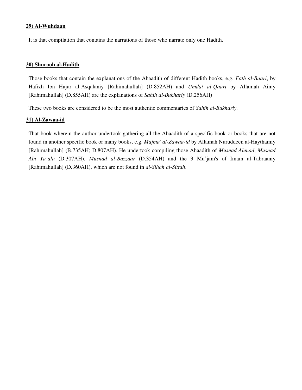#### **29) Al-Wuhdaan**

It is that compilation that contains the narrations of those who narrate only one Hadith.

#### **30) Shurooh al-Hadith**

Those books that contain the explanations of the Ahaadith of different Hadith books, e.g. *Fath al-Baari*, by Hafizh Ibn Hajar al-Asqalaniy [Rahimahullah] (D.852AH) and *Umdat al-Qaari* by Allamah Ainiy [Rahimahullah] (D.855AH) are the explanations of *Sahih al-Bukhariy* (D.256AH)

These two books are considered to be the most authentic commentaries of *Sahih al-Bukhariy.* 

#### **31) Al-Zawaa-id**

That book wherein the author undertook gathering all the Ahaadith of a specific book or books that are not found in another specific book or many books, e.g. *Majma' al-Zawaa-id* by Allamah Nuruddeen al-Haythamiy [Rahimahullah] (B.735AH; D.807AH). He undertook compiling those Ahaadith of *Musnad Ahmad*, *Musnad Abi Ya'ala* (D.307AH), *Musnad al-Bazzaar* (D.354AH) and the 3 Mu'jam's of Imam al-Tabraaniy [Rahimahullah] (D.360AH), which are not found in *al-Sihah al-Sittah*.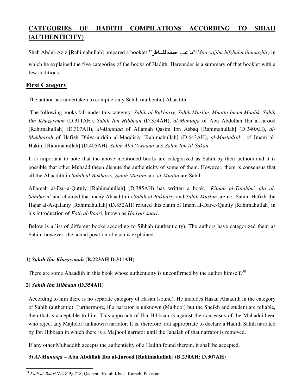# **CATEGORIES OF HADITH COMPILATIONS ACCORDING TO SIHAH (AUTHENTICITY)**

Shah Abdul-Aziz [Rahimahullah] prepared a booklet "P\$2& +Q? 1R "*(Maa yajibu hifzhuhu linnaazhir*) in which he explained the five categories of the books of Hadith. Hereunder is a summary of that booklet with a few additions.

# **First Category**

The author has undertaken to compile only Sahih (authentic) Ahaadith.

 The following books fall under this category: *Sahih al-Bukhariy, Sahih Muslim, Muatta Imam Maalik, Sahih Ibn Khuzaymah* (D.311AH), *Sahih Ibn Hibbaan* (D.354AH), *al-Muntaqa* of Abu Abdullah Ibn al-Jarood [Rahimahullah] (D.307AH), *al-Muntaqa* of Allamah Qasim Ibn Asbaq [Rahimahullah] (D.340AH), *al-Mukhtarah* of Hafizh Dhiya-u-ddin al-Maqdisiy [Rahimahullah] (D.643AH), *al*-*Mustadrak* of Imam al-Hakim [Rahimahullah] (D.405AH), *Sahih Abu 'Awaana* and *Sahih Ibn Al-Sakan*.

It is important to note that the above mentioned books are categorized as Sahih by their authors and it is possible that other Muhadditheen dispute the authenticity of some of them. However, there is consensus that all the Ahaadith in *Sahih al-Bukhariy, Sahih Muslim* and *al-Muatta* are Sahih.

Allamah al-Dar-a-Qutniy [Rahimahullah] (D.385AH) has written a book, *'Kitaab al-Tatabbu` ala al-Sahihayn'* and claimed that many Ahaadith in *Sahih al-Bukhariy* and *Sahih Muslim* are not Sahih. Hafizh Ibn Hajar al-Asqalaniy [Rahimahullah] (D.852AH) refuted this claim of Imam al-Dar-e-Qutniy [Rahimahullah] in his introduction of *Fath al-Baari*, known as *Hadyus saari*.

Below is a list of different books according to Sihhah (authenticity). The authors have categorized them as Sahih; however, the actual position of each is explained.

# **1)** *Sahih Ibn Khuzaymah* **(B.223AH D.311AH)**

There are some Ahaadith in this book whose authenticity is unconfirmed by the author himself.<sup>38</sup>

# **2)** *Sahih Ibn Hibbaan* **(D.354AH)**

According to him there is no separate category of Hasan (sound). He includes Hasan Ahaadith in the category of Sahih (authentic). Furthermore, if a narrator is unknown (Majhool) but the Sheikh and student are reliable, then that is acceptable to him. This approach of Ibn Hibbaan is against the consensus of the Muhadditheen who reject any Majhool (unknown) narrator. It is, therefore, not appropriate to declare a Hadith Sahih narrated by Ibn Hibbaan in which there is a Majhool narrator until the Jahalah of that narrator is removed.

If any other Muhaddith accepts the authenticity of a Hadith found therein, it shall be accepted.

# **3)** *Al-Muntaqa* **– Abu Abdillah Ibn al-Jarood [Rahimahullah] (B.230AH; D.307AH)**

 $\overline{a}$ <sup>38</sup> *Fath al-Baari* Vol.8 Pg.718; Qadeemi Kutub Khana Karachi Pakistan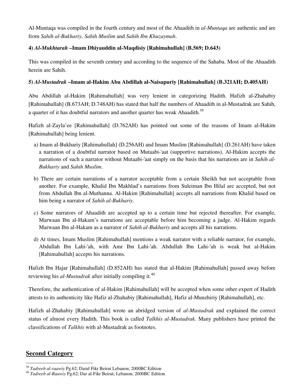Al-Muntaqa was compiled in the fourth century and most of the Ahaadith in *al-Muntaqa* are authentic and are from *Sahih al-Bukhariy, Sahih Muslim* and *Sahih Ibn Khuzaymah*.

# **4)** *Al-Mukhtarah* **–Imam Dhiyauddin al-Maqdisiy [Rahimahullah] (B.569; D.643)**

This was compiled in the seventh century and according to the sequence of the Sahaba. Most of the Ahaadith herein are Sahih.

# **5)** *Al-Mustadrak* **–Imam al-Hakim Abu Abdillah al-Naisapuriy [Rahimahullah] (B.321AH; D.405AH)**

Abu Abdillah al-Hakim [Rahimahullah] was very lenient in categorizing Hadith. Hafizh al-Zhahabiy [Rahimahullah] (B.673AH; D.748AH) has stated that half the numbers of Ahaadith in al-Mustadrak are Sahih, a quarter of it has doubtful narrators and another quarter has weak Ahaadith.<sup>39</sup>

Hafizh al-Zayla'ee [Rahimahullah] (D.762AH) has pointed out some of the reasons of Imam al-Hakim [Rahimahullah] being lenient.

- a) Imam al-Bukhariy [Rahimahullah] (D.256AH) and Imam Muslim [Rahimahullah] (D.261AH) have taken a narration of a doubtful narrator based on Mutaabi-'aat (supportive narrations). Al-Hakim accepts the narrations of such a narrator without Mutaabi-'aat simply on the basis that his narrations are in *Sahih al-Bukhariy* and *Sahih Muslim*.
- b) There are certain narrations of a narrator acceptable from a certain Sheikh but not acceptable from another. For example, Khalid Ibn Makhlad's narrations from Suleiman Ibn Hilal are accepted, but not from Abdullah Ibn al-Muthanna. Al-Hakim [Rahimahullah] accepts all narrations from Khalid based on him being a narrator of *Sahih al-Bukhariy*.
- c) Some narrators of Ahaadith are accepted up to a certain time but rejected thereafter. For example, Marwaan Ibn al-Hakam's narrations are acceptable before him becoming a judge. Al-Hakim regards Marwaan Ibn al-Hakam as a narrator of *Sahih al-Bukhariy* and accepts all his narrations.
- d) At times, Imam Muslim [Rahimahullah] mentions a weak narrator with a reliable narrator, for example, Abdullah Ibn Lahi-'ah, with Amr Ibn Lahi-'ah. Abdullah Ibn Lahi-'ah is weak but al-Hakim [Rahimahullah] accepts his narrations.

Hafizh Ibn Hajar [Rahimahullah] (D.852AH) has stated that al-Hakim [Rahimahullah] passed away before reviewing his *al-Mustadrak* after initially compiling it.<sup>40</sup>

Therefore, the authentication of al-Hakim [Rahimahullah] will be accepted when some other expert of Hadith attests to its authenticity like Hafiz al-Zhahabiy [Rahimahullah], Hafiz al-Munzhiriy [Rahimahullah], etc.

Hafizh al-Zhahabiy [Rahimahullah] wrote an abridged version of *al-Mustadrak* and explained the correct status of almost every Hadith. This book is called *Talkhis al-Mustadrak.* Many publishers have printed the classifications of *Talkhis* with al-Mustadrak as footnotes.

# **Second Category**

<sup>39</sup> *Tadreeb al-raawiy* Pg.62; Darul Fikr Beirut Lebanon; 2000BC Edition

<sup>40</sup> *Tadreeb al-Raawiy* Pg.62; Dar al-Fikr Beirut; Lebanon; 2000BC Edition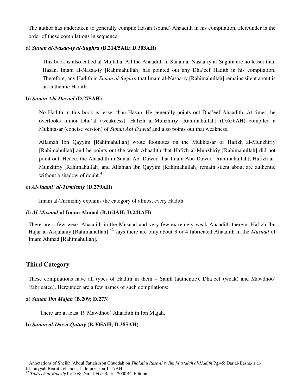The author has undertaken to generally compile Hasan (sound) Ahaadith in his compilation. Hereunder is the order of these compilations in sequence:

#### **a)** *Sunan al-Nasaa-iy al-Sughra* **(B.214/5AH; D.303AH)**

This book is also called al-Mujtaba. All the Ahaadith in Sunan al-Nasaa-iy al-Sughra are no lesser than Hasan. Imam al-Nasaa-iy [Rahimahullah] has pointed out any Dha'eef Hadith in his compilation. Therefore, any Hadith in *Sunan al-Sughra* that Imam al-Nasaa-iy [Rahimahullah] remains silent about is an authentic Hadith.

#### **b)** *Sunan Abi Dawud* **(D.275AH)**

No Hadith in this book is lesser than Hasan. He generally points out Dha'eef Ahaadith. At times, he overlooks minor Dhu'af (weakness). Hafizh al-Munzhiriy [Rahimahullah] (D.656AH) compiled a Mukhtasar (concise version) of *Sunan Abi Dawud* and also points out that weakness.

Allamah Ibn Qayyim [Rahimahullah] wrote footnotes on the Mukhtasar of Hafizh al-Munzhiriy [Rahimahullah] and he points out the weak Ahaadith that Hafizh al-Munzhiriy [Rahimahullah] did not point out. Hence, the Ahaadith in Sunan Abi Dawud that Imam Abu Dawud [Rahimahullah], Hafizh al-Munzhiriy [Rahimahullah] and Allamah Ibn Qayyim [Rahimahullah] remain silent about are authentic without a shadow of doubt. $41$ 

#### **c)** *Al-Jaami` al-Tirmizhiy* **(D.279AH)**

Imam al-Tirmizhiy explains the category of almost every Hadith.

# **d)** *Al-Musnad* **of Imam Ahmad (B.164AH; D.241AH)**

There are a few weak Ahaadith in the Musnad and very few extremely weak Ahaadith therein. Hafizh Ibn Hajar al-Asqalaniy [Rahimahullah] <sup>42</sup> says there are only about 3 or 4 fabricated Ahaadith in the *Musnad* of Imam Ahmad [Rahimahullah].

# **Third Category**

 $\overline{a}$ 

These compilations have all types of Hadith in them – Sahih (authentic), Dha'eef (weak) and Mawdhoo` (fabricated). Hereunder are a few names of such compilations:

#### **a)** *Sunan Ibn Majah* **(B.209; D.273)**

There are at least 19 Mawdhoo' Ahaadith in Ibn Majah.

# **b)** *Sunan al-Dar-a-Qutniy* **(B.305AH; D.385AH)**

<sup>41</sup>Annotations of Sheikh 'Abdul Fattah Abu Ghuddah on *Thalathu Rasa-il iy Ilm Mustalah al-Hadith* Pg.45; Dar al-Basha-ir al-Islamiyyah Beirut Lebanon; 1<sup>st</sup> Impression 1417AH

<sup>42</sup> *Tadreeb al-Raawiy* Pg.108; Dar al-Fikr Beirut 2000BC Edition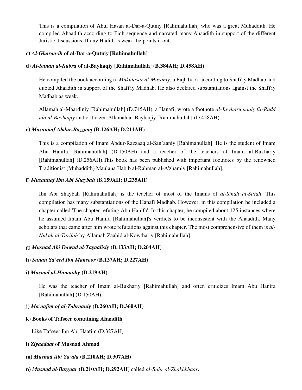This is a compilation of Abul Hasan al-Dar-a-Qutniy [Rahimahullah] who was a great Muhaddith. He compiled Ahaadith according to Fiqh sequence and narrated many Ahaadith in support of the different Juristic discussions. If any Hadith is weak, he points it out.

#### **c)** *Al-Gharaa-ib* **of al-Dar-a-Qutniy [Rahimahullah]**

#### **d)** *Al-Sunan al-Kubra* **of al-Bayhaqiy [Rahimahullah] (B.384AH; D.458AH)**

He compiled the book according to *Mukhtasar al-Muzaniy*, a Fiqh book according to Shafi'iy Madhab and quoted Ahaadith in support of the Shafi'iy Madhab. He also declared substantiations against the Shafi'iy Madhab as weak.

Allamah al-Maardiniy [Rahimahullah] (D.745AH), a Hanafi, wrote a footnote *al-Jawharu naqiy fir-Radd ala al-Bayhaqiy* and criticized Allamah al-Bayhaqiy [Rahimahullah] (D.458AH).

#### **e)** *Musannaf Abdur-Razzaaq* **(B.126AH; D.211AH)**

This is a compilation of Imam Abdur-Razzaaq al-San'aaniy [Rahimahullah]. He is the student of Imam Abu Hanifa [Rahimahullah] (D.150AH) and a teacher of the teachers of Imam al-Bukhariy [Rahimahullah] (D.256AH).This book has been published with important footnotes by the renowned Traditionist (Muhaddith) Maulana Habib al-Rahman al-A'zhamiy [Rahimahullah].

#### **f)** *Musannaf Ibn Abi Shaybah* **(B.159AH; D.235AH)**

Ibn Abi Shaybah [Rahimahullah] is the teacher of most of the Imams of *al-Sihah al-Sittah*. This compilation has many substantiations of the Hanafi Madhab. However, in this compilation he included a chapter called 'The chapter refuting Abu Hanifa'. In this chapter, he compiled about 125 instances where he assumed Imam Abu Hanifa [Rahimahullah]'s verdicts to be inconsistent with the Ahaadith. Many scholars that came after him wrote refutations against this chapter. The most comprehensive of them is *al-Nukah al-Tarifah* by Allamah Zaahid al-Kowthariy [Rahimahullah].

#### **g)** *Musnad Abi Dawud al-Tayaalisiy* **(B.133AH; D.204AH)**

#### **h)** *Sunan Sa'eed Ibn Mansoor* **(B.137AH; D.227AH)**

#### **i)** *Musnad al-Humaidiy* **(D.219AH)**

He was the teacher of Imam al-Bukhariy [Rahimahullah] and often criticizes Imam Abu Hanifa [Rahimahullah] (D.150AH).

#### **j)** *Ma'aajim of al-Tabraaniy* **(B.260AH; D.360AH)**

#### **k) Books of Tafseer containing Ahaadith**

Like Tafseer Ibn Abi Haatim (D.327AH)

#### **l)** *Ziyaadaat* **of Musnad Ahmad**

#### **m)** *Musnad Abi Ya'ala* **(B.210AH; D.307AH)**

**n)** *Musnad al-Bazzaar* **(B.210AH; D.292AH)** called *al-Bahr al-Zhakhkhaar***.**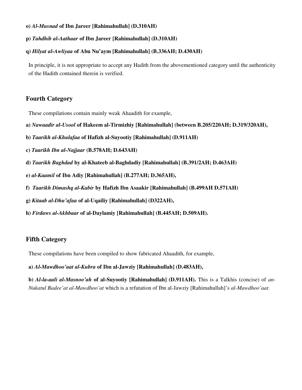#### **o)** *Al-Musnad* **of Ibn Jareer [Rahimahullah] (D.310AH)**

#### **p)** *Tahdhib al-Aathaar* **of Ibn Jareer [Rahimahullah] (D.310AH)**

#### **q)** *Hilyat al-Awliyaa* **of Abu Nu'aym [Rahimahullah] (B.336AH; D.430AH)**

In principle, it is not appropriate to accept any Hadith from the abovementioned category until the authenticity of the Hadith contained therein is verified.

# **Fourth Category**

These compilations contain mainly weak Ahaadith for example,

- **a)** *Nawaadir al-Usool* **of Hakeem al-Tirmizhiy [Rahimahullah] (between B.205/220AH; D.319/320AH),**
- **b)** *Taarikh al-Khulafaa* **of Hafizh al-Suyootiy [Rahimahullah] (D.911AH)**
- **c)** *Taarikh Ibn al-Najjaar* **(B.578AH; D.643AH)**
- **d)** *Taarikh Baghdad* **by al-Khateeb al-Baghdadiy [Rahimahullah] (B.391/2AH; D.463AH)**
- **e)** *al-Kaamil* **of Ibn Adiy [Rahimahullah] (B.277AH; D.365AH),**
- **f)** *Taarikh Dimashq al-Kabir* **by Hafizh Ibn Asaakir [Rahimahullah] (B.499AH D.571AH)**
- **g)** *Kitaab al-Dhu'afaa* **of al-Uqailiy [Rahimahullah] (D322AH),**
- **h)** *Firdaws al-Akhbaar* **of al-Daylamiy [Rahimahullah] (B.445AH; D.509AH).**

# **Fifth Category**

These compilations have been compiled to show fabricated Ahaadith, for example,

**a)** *Al-Mawdhoo'aat al-Kubra* **of Ibn al-Jawziy [Rahimahullah] (D.483AH),** 

**b)** *Al-la-aali al-Masnoo'ah* **of al-Suyootiy [Rahimahullah] (D.911AH).** This is a Talkhis (concise) of *an-Nukatul Badee'at al-Mawdhoo'at* which is a refutation of Ibn al-Jawziy [Rahimahullah]'s *al-Mawdhoo'aat*.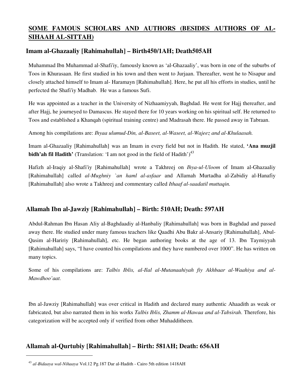# **SOME FAMOUS SCHOLARS AND AUTHORS (BESIDES AUTHORS OF AL-SIHAAH AL-SITTAH)**

# **Imam al-Ghazaaliy [Rahimahullah] – Birth450/1AH; Death505AH**

Muhammad Ibn Muhammad al-Shafi'iy, famously known as 'al-Ghazaaliy', was born in one of the suburbs of Toos in Khurasaan. He first studied in his town and then went to Jurjaan. Thereafter, went he to Nisapur and closely attached himself to Imam al- Haramayn [Rahimahullah]. Here, he put all his efforts in studies, until he perfected the Shafi'iy Madhab. He was a famous Sufi.

He was appointed as a teacher in the University of Nizhaamiyyah, Baghdad. He went for Hajj thereafter, and after Hajj, he journeyed to Damascus. He stayed there for 10 years working on his spiritual self. He returned to Toos and established a Khanqah (spiritual training centre) and Madrasah there. He passed away in Tabraan.

Among his compilations are: *Ihyaa ulumud-Din, al-Baseet, al-Waseet, al-Wajeez and al-Khulaasah.*

Imam al-Ghazaaliy [Rahimahullah] was an Imam in every field but not in Hadith. He stated, **'Ana muzjil bidh'ah fil Hadith'** (Translation: 'I am not good in the field of Hadith')<sup>43</sup>

Hafizh al-Iraqiy al-Shafi'iy [Rahimahullah] wrote a Takhreej on *Ihya-ul-Uloom* of Imam al-Ghazaaliy [Rahimahullah] called *al-Mughniy `an haml al-asfaar* and Allamah Murtadha al-Zabidiy al-Hanafiy [Rahimahullah] also wrote a Takhreej and commentary called *Ithaaf al-saadatil muttaqin.*

# **Allamah Ibn al-Jawziy [Rahimahullah] – Birth: 510AH; Death: 597AH**

Abdul-Rahman Ibn Hasan Aliy al-Baghdaadiy al-Hanbaliy [Rahimahullah] was born in Baghdad and passed away there. He studied under many famous teachers like Qaadhi Abu Bakr al-Ansariy [Rahimahullah], Abul-Qasim al-Haririy [Rahimahullah], etc. He began authoring books at the age of 13. Ibn Taymiyyah [Rahimahullah] says, "I have counted his compilations and they have numbered over 1000". He has written on many topics.

Some of his compilations are: *Talbis Iblis, al-Ilal al-Mutanaahiyah fiy Akhbaar al-Waahiya and al-Mawdhoo'aat.*

Ibn al-Jawziy [Rahimahullah] was over critical in Hadith and declared many authentic Ahaadith as weak or fabricated, but also narrated them in his works *Talbis Iblis, Zhamm al-Hawaa and al-Tabsirah*. Therefore, his categorization will be accepted only if verified from other Muhadditheen.

# **Allamah al-Qurtubiy [Rahimahullah] – Birth: 581AH; Death: 656AH**

<sup>43</sup> *al-Bidaaya wal-Nihaaya* Vol.12 Pg.187 Dar al-Hadith - Cairo 5th edition 1418AH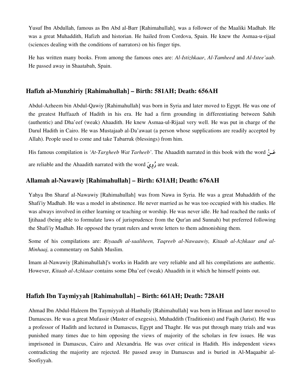Yusuf Ibn Abdullah, famous as Ibn Abd al-Barr [Rahimahullah], was a follower of the Maaliki Madhab. He was a great Muhaddith, Hafizh and historian. He hailed from Cordova, Spain. He knew the Asmaa-u-rijaal (sciences dealing with the conditions of narrators) on his finger tips.

He has written many books. From among the famous ones are: *Al-Istizhkaar*, *Al-Tamheed* and *Al-Istee'aab*. He passed away in Shaatabah, Spain.

# **Hafizh al-Munzhiriy [Rahimahullah] – Birth: 581AH; Death: 656AH**

Abdul-Azheem bin Abdul-Qawiy [Rahimahullah] was born in Syria and later moved to Egypt. He was one of the greatest Huffaazh of Hadith in his era. He had a firm grounding in differentiating between Sahih (authentic) and Dha'eef (weak) Ahaadith. He knew Asmaa-ul-Rijaal very well. He was put in charge of the Darul Hadith in Cairo. He was Mustajaab al-Da'awaat (a person whose supplications are readily accepted by Allah). People used to come and take Tabarruk (blessings) from him.

His famous compilation is *'At-Targheeb Wat Tarheeb'*. The Ahaadith narrated in this book with the word \$ are reliable and the Ahaadith narrated with the word  $($ وُوِيَ $)$  are weak.

# **Allamah al-Nawawiy [Rahimahullah] – Birth: 631AH; Death: 676AH**

Yahya Ibn Sharaf al-Nawawiy [Rahimahullah] was from Nawa in Syria. He was a great Muhaddith of the Shafi'iy Madhab. He was a model in abstinence. He never married as he was too occupied with his studies. He was always involved in either learning or teaching or worship. He was never idle. He had reached the ranks of Ijtihaad (being able to formulate laws of jurisprudence from the Qur'an and Sunnah) but preferred following the Shafi'iy Madhab. He opposed the tyrant rulers and wrote letters to them admonishing them.

Some of his compilations are: *Riyaadh al-saaliheen, Taqreeb al-Nawaawiy, Kitaab al-Azhkaar and al-Minhaaj,* a commentary on Sahih Muslim.

Imam al-Nawawiy [Rahimahullah]'s works in Hadith are very reliable and all his compilations are authentic. However, *Kitaab al-Azhkaar* contains some Dha'eef (weak) Ahaadith in it which he himself points out.

# **Hafizh Ibn Taymiyyah [Rahimahullah] – Birth: 661AH; Death: 728AH**

Ahmad Ibn Abdul-Haleem Ibn Taymiyyah al-Hanbaliy [Rahimahullah] was born in Hiraan and later moved to Damascus. He was a great Mufassir (Master of exegesis), Muhaddith (Traditionist) and Faqih (Jurist). He was a professor of Hadith and lectured in Damascus, Egypt and Thaghr. He was put through many trials and was punished many times due to him opposing the views of majority of the scholars in few issues. He was imprisoned in Damascus, Cairo and Alexandria. He was over critical in Hadith. His independent views contradicting the majority are rejected. He passed away in Damascus and is buried in Al-Maqaabir al-Soofiyyah.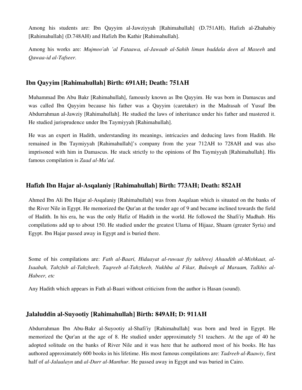Among his students are: Ibn Qayyim al-Jawziyyah [Rahimahullah] (D.751AH), Hafizh al-Zhahabiy [Rahimahullah] (D.748AH) and Hafizh Ibn Kathir [Rahimahullah].

Among his works are: *Mujmoo'ah 'al Fataawa, al-Jawaab al-Sahih liman baddala deen al Maseeh* and *Qawaa-id al-Tafseer.*

# **Ibn Qayyim [Rahimahullah] Birth: 691AH; Death: 751AH**

Muhammad Ibn Abu Bakr [Rahimahullah], famously known as Ibn Qayyim. He was born in Damascus and was called Ibn Qayyim because his father was a Qayyim (caretaker) in the Madrasah of Yusuf Ibn Abdurrahman al-Jawziy [Rahimahullah]. He studied the laws of inheritance under his father and mastered it. He studied jurisprudence under Ibn Taymiyyah [Rahimahullah].

He was an expert in Hadith, understanding its meanings, intricacies and deducing laws from Hadith. He remained in Ibn Taymiyyah [Rahimahullah]'s company from the year 712AH to 728AH and was also imprisoned with him in Damascus. He stuck strictly to the opinions of Ibn Taymiyyah [Rahimahullah]. His famous compilation is *Zaad al-Ma'ad*.

# **Hafizh Ibn Hajar al-Asqalaniy [Rahimahullah] Birth: 773AH; Death: 852AH**

Ahmed Ibn Ali Ibn Hajar al-Asqalaniy [Rahimahullah] was from Asqalaan which is situated on the banks of the River Nile in Egypt. He memorized the Qur'an at the tender age of 9 and became inclined towards the field of Hadith. In his era, he was the only Hafiz of Hadith in the world. He followed the Shafi'iy Madhab. His compilations add up to about 150. He studied under the greatest Ulama of Hijaaz, Shaam (greater Syria) and Egypt. Ibn Hajar passed away in Egypt and is buried there.

Some of his compilations are: *Fath al-Baari, Hidaayat al-ruwaat fiy takhreej Ahaadith al-Mishkaat, al-Isaabah, Tahzhib al-Tahzheeb, Taqreeb al-Tahzheeb, Nukhba al Fikar, Buloogh al Maraam, Talkhis al-Habeer, etc*

Any Hadith which appears in Fath al-Baari without criticism from the author is Hasan (sound).

# **Jalaluddin al-Suyootiy [Rahimahullah] Birth: 849AH; D: 911AH**

Abdurrahman Ibn Abu-Bakr al-Suyootiy al-Shafi'iy [Rahimahullah] was born and bred in Egypt. He memorized the Qur'an at the age of 8. He studied under approximately 51 teachers. At the age of 40 he adopted solitude on the banks of River Nile and it was here that he authored most of his books. He has authored approximately 600 books in his lifetime. His most famous compilations are: *Tadreeb al-Raawiy*, first half of *al-Jalaalayn* and *al-Durr al-Manthur*. He passed away in Egypt and was buried in Cairo.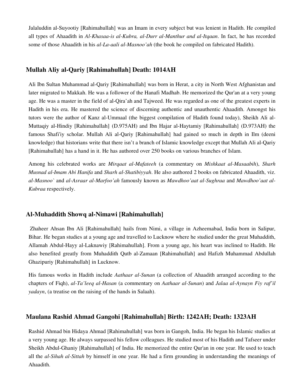Jalaluddin al-Suyootiy [Rahimahullah] was an Imam in every subject but was lenient in Hadith. He compiled all types of Ahaadith in *Al-Khasaa-is al-Kubra, al-Durr al-Manthur and al-Itqaan*. In fact, he has recorded some of those Ahaadith in his *al-La-aali al-Masnoo'ah* (the book he compiled on fabricated Hadith).

# **Mullah Aliy al-Qariy [Rahimahullah] Death: 1014AH**

Ali Ibn Sultan Muhammad al-Qariy [Rahimahullah] was born in Herat, a city in North West Afghanistan and later migrated to Makkah. He was a follower of the Hanafi Madhab. He memorized the Qur'an at a very young age. He was a master in the field of al-Qira'ah and Tajweed. He was regarded as one of the greatest experts in Hadith in his era. He mastered the science of discerning authentic and unauthentic Ahaadith. Amongst his tutors were the author of Kanz al-Ummaal (the biggest compilation of Hadith found today), Sheikh Ali al-Muttaqiy al-Hindiy [Rahimahullah] (D.975AH) and Ibn Hajar al-Haytamiy [Rahimahullah] (D.973AH) the famous Shafi'iy scholar. Mullah Ali al-Qariy [Rahimahullah] had gained so much in depth in Ilm (deeni knowledge) that historians write that there isn't a branch of Islamic knowledge except that Mullah Ali al-Qariy [Rahimahullah] has a hand in it. He has authored over 250 books on various branches of Islam.

Among his celebrated works are *Mirqaat al-Mafateeh* (a commentary on *Mishkaat al-Masaabih*), *Sharh Musnad al-Imam Abi Hanifa* and *Sharh al-Shatibiyyah*. He also authored 2 books on fabricated Ahaadith, viz. *al-Masnoo`* and *al-Asraar al-Marfoo'ah* famously known as *Mawdhoo'aat al-Sughraa* and *Mawdhoo'aat al-Kubraa* respectively.

# **Al-Muhaddith Showq al-Nimawi [Rahimahullah]**

 Zhaheer Ahsan Ibn Ali [Rahimahullah] hails from Nimi, a village in Azheemabad, India born in Salipur, Bihar. He began studies at a young age and travelled to Lucknow where he studied under the great Muhaddith, Allamah Abdul-Hayy al-Laknawiy [Rahimahullah]. From a young age, his heart was inclined to Hadith. He also benefited greatly from Muhaddith Qutb al-Zamaan [Rahimahullah] and Hafizh Muhammad Abdullah Ghazipuriy [Rahimahullah] in Lucknow.

His famous works in Hadith include *Aathaar al-Sunan* (a collection of Ahaadith arranged according to the chapters of Fiqh), *al-Ta'leeq al-Hasan* (a commentary on *Aathaar al-Sunan*) and *Jalaa al-Aynayn Fiy raf'il yadayn*, (a treatise on the raising of the hands in Salaah).

# **Maulana Rashid Ahmad Gangohi [Rahimahullah] Birth: 1242AH; Death: 1323AH**

Rashid Ahmad bin Hidaya Ahmad [Rahimahullah] was born in Gangoh, India. He began his Islamic studies at a very young age. He always surpassed his fellow colleagues. He studied most of his Hadith and Tafseer under Sheikh Abdul-Ghaniy [Rahimahullah] of India. He memorized the entire Qur'an in one year. He used to teach all the *al-Sihah al-Sittah* by himself in one year. He had a firm grounding in understanding the meanings of Ahaadith.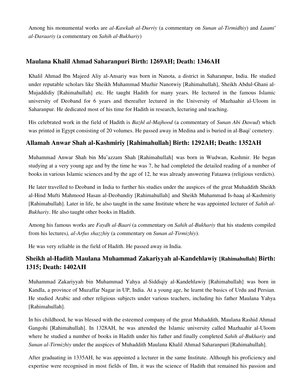Among his monumental works are *al-Kawkab al-Durriy* (a commentary on *Sunan al-Tirmidhiy*) and *Laami' al-Daraariy* (a commentary on *Sahih al-Bukhariy*)

# **Maulana Khalil Ahmad Saharanpuri Birth: 1269AH; Death: 1346AH**

Khalil Ahmad Ibn Majeed Aliy al-Ansariy was born in Nanota, a district in Saharanpur, India. He studied under reputable scholars like Sheikh Muhammad Muzhir Nanotwiy [Rahimahullah], Sheikh Abdul-Ghani al-Mujaddidiy [Rahimahullah] etc. He taught Hadith for many years. He lectured in the famous Islamic university of Deoband for 6 years and thereafter lectured in the University of Mazhaahir al-Uloom in Saharanpur. He dedicated most of his time for Hadith in research, lecturing and teaching.

His celebrated work in the field of Hadith is *Bazhl al-Majhood* (a commentary of *Sunan Abi Dawud*) which was printed in Egypt consisting of 20 volumes. He passed away in Medina and is buried in al-Baqi' cemetery.

# **Allamah Anwar Shah al-Kashmiriy [Rahimahullah] Birth: 1292AH; Death: 1352AH**

Muhammad Anwar Shah bin Mu'azzam Shah [Rahimahullah] was born in Wudwan, Kashmir. He began studying at a very young age and by the time he was 7, he had completed the detailed reading of a number of books in various Islamic sciences and by the age of 12, he was already answering Fataawa (religious verdicts).

He later travelled to Deoband in India to further his studies under the auspices of the great Muhaddith Sheikh al-Hind Mufti Mahmood Hasan al-Deobandiy [Rahimahullah] and Sheikh Muhammad Is-haaq al-Kashmiriy [Rahimahullah]. Later in life, he also taught in the same Institute where he was appointed lecturer of *Sahih al-Bukhariy*. He also taught other books in Hadith.

Among his famous works are *Faydh al-Baari* (a commentary on *Sahih al-Bukhariy* that his students compiled from his lectures*), al-Arfus shazzhi*y (a commentary on *Sunan al-Tirmizhiy*).

He was very reliable in the field of Hadith. He passed away in India.

# **Sheikh al-Hadith Maulana Muhammad Zakariyyah al-Kandehlawiy [Rahimahullah] Birth: 1315; Death: 1402AH**

Muhammad Zakariyyah bin Muhammad Yahya al-Siddiqiy al-Kandehlawiy [Rahimahullah] was born in Kandla, a province of Muzaffar Nagar in UP, India. At a young age, he learnt the basics of Urdu and Persian. He studied Arabic and other religious subjects under various teachers, including his father Maulana Yahya [Rahimahullah].

In his childhood, he was blessed with the esteemed company of the great Muhaddith, Maulana Rashid Ahmad Gangohi [Rahimahullah]. In 1328AH, he was attended the Islamic university called Mazhaahir al-Uloom where he studied a number of books in Hadith under his father and finally completed *Sahih al-Bukhariy* and *Sunan al-Tirmizhiy* under the auspices of Muhaddith Maulana Khalil Ahmad Saharanpuri [Rahimahullah].

After graduating in 1335AH, he was appointed a lecturer in the same Institute. Although his proficiency and expertise were recognised in most fields of Ilm, it was the science of Hadith that remained his passion and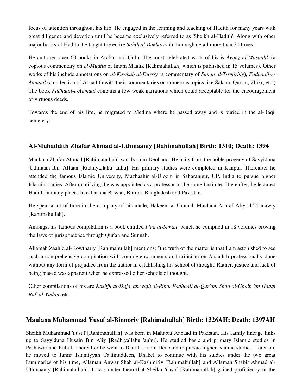focus of attention throughout his life. He engaged in the learning and teaching of Hadith for many years with great diligence and devotion until he became exclusively referred to as 'Sheikh al-Hadith'. Along with other major books of Hadith, he taught the entire *Sahih al-Bukhariy* in thorough detail more than 30 times.

He authored over 60 books in Arabic and Urdu. The most celebrated work of his is *Awjaz al-Masaalik* (a copious commentary on *al-Muatta* of Imam Maalik [Rahimahullah] which is published in 15 volumes). Other works of his include annotations on *al-Kawkab al-Durri*y (a commentary of *Sunan al-Tirmizhiy*), *Fadhaail-e-Aamaal* (a collection of Ahaadith with their commentaries on numerous topics like Salaah, Qur'an, Zhikr, etc.) The book *Fadhaail-e-Aamaal* contains a few weak narrations which could acceptable for the encouragement of virtuous deeds.

Towards the end of his life, he migrated to Medina where he passed away and is buried in the al-Baqi' cemetery.

# **Al-Muhaddith Zhafar Ahmad al-Uthmaaniy [Rahimahullah] Birth: 1310; Death: 1394**

Maulana Zhafar Ahmad [Rahimahullah] was born in Deoband. He hails from the noble progeny of Sayyiduna 'Uthmaan Ibn 'Affaan [Radhiyallahu 'anhu]. His primary studies were completed in Kanpur. Thereafter he attended the famous Islamic University, Mazhaahir al-Uloom in Saharanpur, UP, India to pursue higher Islamic studies. After qualifying, he was appointed as a professor in the same Institute. Thereafter, he lectured Hadith in many places like Thaana Bowan, Burma, Bangladesh and Pakistan.

He spent a lot of time in the company of his uncle, Hakeem al-Ummah Maulana Ashraf Aliy al-Thanawiy [Rahimahullah].

Amongst his famous compilation is a book entitled *I'laa al-Sunan*, which he compiled in 18 volumes proving the laws of jurisprudence through Qur'an and Sunnah.

Allamah Zaahid al-Kowthariy [Rahimahullah] mentions: "the truth of the matter is that I am astonished to see such a comprehensive compilation with complete comments and criticism on Ahaadith professionally done without any form of prejudice from the author in establishing his school of thought. Rather, justice and lack of being biased was apparent when he expressed other schools of thought.

Other compilations of his are *Kashfu al-Duja 'an wajh al-Riba, Fadhaail al-Qur'an, Shaq al-Ghain 'an Haqqi Raf' al-Yadain* etc.

# **Maulana Muhammad Yusuf al-Binnoriy [Rahimahullah] Birth: 1326AH; Death: 1397AH**

Sheikh Muhammad Yusuf [Rahimahullah] was born in Mahabat Aabaad in Pakistan. His family lineage links up to Sayyiduna Husain Bin Aliy [Radhiyallahu 'anhu]. He studied basic and primary Islamic studies in Peshawar and Kabul. Thereafter he went to Dar al-Uloom Deoband to pursue higher Islamic studies. Later on, he moved to Jamia Islamiyyah Ta'limuddeen, Dhabel to continue with his studies under the two great Luminaries of his time, Allamah Anwar Shah al-Kashmiriy [Rahimahullah] and Allamah Shabir Ahmad al-Uthmaaniy [Rahimahullah]. It was under them that Sheikh Yusuf [Rahimahullah] gained proficiency in the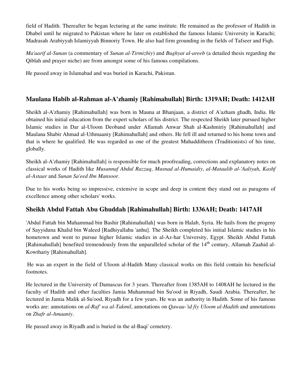field of Hadith. Thereafter he began lecturing at the same institute. He remained as the professor of Hadith in Dhabel until he migrated to Pakistan where he later on established the famous Islamic University in Karachi; Madrasah Arabiyyah Islamiyyah Binnoriy Town. He also had firm grounding in the fields of Tafseer and Fiqh.

*Ma'aarif al-Sunan* (a commentary of *Sunan al-Tirmizhiy*) and *Bughyat al-areeb* (a detailed thesis regarding the Qiblah and prayer niche) are from amongst some of his famous compilations.

He passed away in Islamabad and was buried in Karachi, Pakistan.

# **Maulana Habib al-Rahman al-A'zhamiy [Rahimahullah] Birth: 1319AH; Death: 1412AH**

Sheikh al-A'zhamiy [Rahimahullah] was born in Mauna at Bhanjaan, a district of A'azham ghadh, India. He obtained his initial education from the expert scholars of his district. The respected Sheikh later pursued higher Islamic studies in Dar al-Uloom Deoband under Allamah Anwar Shah al-Kashmiriy [Rahimahullah] and Maulana Shabir Ahmad al-Uthmaaniy [Rahimahullah] and others. He fell ill and returned to his home town and that is where he qualified. He was regarded as one of the greatest Muhadditheen (Traditionists) of his time, globally.

Sheikh al-A'zhamiy [Rahimahullah] is responsible for much proofreading, corrections and explanatory notes on classical works of Hadith like *Musannaf Abdul Razzaq*, *Musnad al-Humaidiy*, *al-Mataalib al-'Aaliyah*, *Kashf al-Astaar* and *Sunan Sa'eed Ibn Mansoor*.

Due to his works being so impressive, extensive in scope and deep in content they stand out as paragons of excellence among other scholars' works.

# **Sheikh Abdul Fattah Abu Ghuddah [Rahimahullah] Birth: 1336AH; Death: 1417AH**

'Abdul Fattah bin Muhammad bin Bashir [Rahimahullah] was born in Halab, Syria. He hails from the progeny of Sayyiduna Khalid bin Waleed [Radhiyallahu 'anhu]. The Sheikh completed his initial Islamic studies in his hometown and went to pursue higher Islamic studies in al-Az-har University, Egypt. Sheikh Abdul Fattah [Rahimahullah] benefited tremendously from the unparalleled scholar of the 14<sup>th</sup> century, Allamah Zaahid al-Kowthariy [Rahimahullah].

He was an expert in the field of Uloom al-Hadith Many classical works on this field contain his beneficial footnotes.

He lectured in the University of Damascus for 3 years. Thereafter from 1385AH to 1408AH he lectured in the faculty of Hadith and other faculties Jamia Muhammad bin Su'ood in Riyadh, Saudi Arabia. Thereafter, he lectured in Jamia Malik al-Su'ood, Riyadh for a few years. He was an authority in Hadith. Some of his famous works are: annotations on *al-Raf' wa al-Takmil*, annotations on *Qawaa-'id fiy Uloom al-Hadith* and annotations on *Zhafr al-Amaaniy*.

He passed away in Riyadh and is buried in the al-Baqi' cemetery.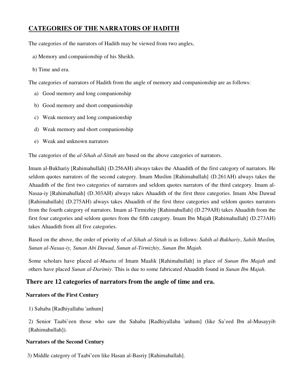# **CATEGORIES OF THE NARRATORS OF HADITH**

The categories of the narrators of Hadith may be viewed from two angles,

- a) Memory and companionship of his Sheikh.
- b) Time and era.

The categories of narrators of Hadith from the angle of memory and companionship are as follows:

- a) Good memory and long companionship
- b) Good memory and short companionship
- c) Weak memory and long companionship
- d) Weak memory and short companionship
- e) Weak and unknown narrators

The categories of the *al-Sihah al-Sittah* are based on the above categories of narrators.

Imam al-Bukhariy [Rahimahullah] (D.256AH) always takes the Ahaadith of the first category of narrators. He seldom quotes narrators of the second category. Imam Muslim [Rahimahullah] (D.261AH) always takes the Ahaadith of the first two categories of narrators and seldom quotes narrators of the third category. Imam al-Nasaa-iy [Rahimahullah] (D.303AH) always takes Ahaadith of the first three categories. Imam Abu Dawud [Rahimahullah] (D.275AH) always takes Ahaadith of the first three categories and seldom quotes narrators from the fourth category of narrators. Imam al-Tirmizhiy [Rahimahullah] (D.279AH) takes Ahaadith from the first four categories and seldom quotes from the fifth category. Imam Ibn Majah [Rahimahullah] (D.273AH) takes Ahaadith from all five categories.

Based on the above, the order of priority of *al-Sihah al-Sittah* is as follows: *Sahih al-Bukhariy*, *Sahih Muslim, Sunan al-Nasaa-iy, Sunan Abi Dawud, Sunan al-Tirmizhiy, Sunan Ibn Majah.*

Some scholars have placed *al-Muatta* of Imam Maalik [Rahimahullah] in place of *Sunan Ibn Majah* and others have placed *Sunan al*-*Darimiy*. This is due to some fabricated Ahaadith found in *Sunan Ibn Majah*.

# **There are 12 categories of narrators from the angle of time and era.**

# **Narrators of the First Century**

1) Sahaba [Radhiyallahu 'anhum]

2) Senior Taabi'een those who saw the Sahaba [Radhiyallahu 'anhum] (like Sa'eed Ibn al-Musayyib [Rahimahullah]).

# **Narrators of the Second Century**

3) Middle category of Taabi'een like Hasan al-Basriy [Rahimahullah].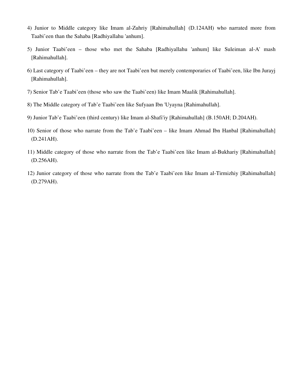- 4) Junior to Middle category like Imam al-Zuhriy [Rahimahullah] (D.124AH) who narrated more from Taabi'een than the Sahaba [Radhiyallahu 'anhum].
- 5) Junior Taabi'een those who met the Sahaba [Radhiyallahu 'anhum] like Suleiman al-A' mash [Rahimahullah].
- 6) Last category of Taabi'een they are not Taabi'een but merely contemporaries of Taabi'een, like Ibn Jurayj [Rahimahullah].
- 7) Senior Tab'e Taabi'een (those who saw the Taabi'een) like Imam Maalik [Rahimahullah].
- 8) The Middle category of Tab'e Taabi'een like Sufyaan Ibn 'Uyayna [Rahimahullah].
- 9) Junior Tab'e Taabi'een (third century) like Imam al-Shafi'iy [Rahimahullah] (B.150AH; D.204AH).
- 10) Senior of those who narrate from the Tab'e Taabi'een like Imam Ahmad Ibn Hanbal [Rahimahullah] (D.241AH).
- 11) Middle category of those who narrate from the Tab'e Taabi'een like Imam al-Bukhariy [Rahimahullah] (D.256AH).
- 12) Junior category of those who narrate from the Tab'e Taabi'een like Imam al-Tirmizhiy [Rahimahullah] (D.279AH).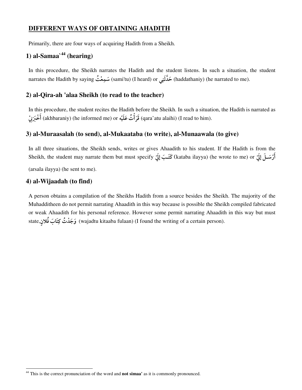# **DIFFERENT WAYS OF OBTAINING AHADITH**

Primarily, there are four ways of acquiring Hadith from a Sheikh.

# **1) al-Samaa`<sup>44</sup> (hearing)**

In this procedure, the Sheikh narrates the Hadith and the student listens. In such a situation, the student narrates the Hadith by saying سَمِعْتُ (sami'tu) (I heard) or حَدَّثَنِي (haddathaniy) (he narrated to me).

# **2) al-Qira-ah 'alaa Sheikh (to read to the teacher)**

In this procedure, the student recites the Hadith before the Sheikh. In such a situation, the Hadith is narrated as -قَرَأَتُ عَلَيْه (akhbaraniy) (he informed me) or قَرَأَتُ عَلَيْه (qara'atu alaihi) (I read to him). -

# **3) al-Muraasalah (to send), al-Mukaataba (to write), al-Munaawala (to give)**

In all three situations, the Sheikh sends, writes or gives Ahaadith to his student. If the Hadith is from the  $S$ heikh, the student may narrate them but must specify كَتَـبَ إِلَيَّ (kataba ilayya) (he wrote to me) or أرْسَـلَ إِلَيَّ

(arsala ilayya) (he sent to me).

# **4) al-Wijaadah (to find)**

 $\overline{a}$ 

A person obtains a compilation of the Sheikhs Hadith from a source besides the Sheikh. The majority of the Muhadditheen do not permit narrating Ahaadith in this way because is possible the Sheikh compiled fabricated or weak Ahaadith for his personal reference. However some permit narrating Ahaadith in this way but must state,کَ فَلانٍ (wajadtu kitaaba fulaan) (I found the writing of a certain person).

<sup>44</sup> This is the correct pronunciation of the word and **not simaa'** as it is commonly pronounced.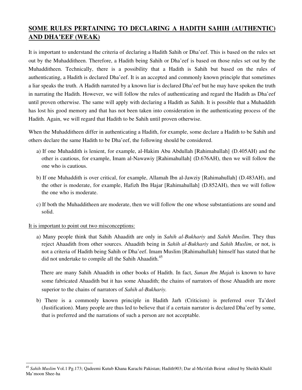# **SOME RULES PERTAINING TO DECLARING A HADITH SAHIH (AUTHENTIC) AND DHA'EEF (WEAK)**

It is important to understand the criteria of declaring a Hadith Sahih or Dha'eef. This is based on the rules set out by the Muhadditheen. Therefore, a Hadith being Sahih or Dha'eef is based on those rules set out by the Muhadditheen. Technically, there is a possibility that a Hadith is Sahih but based on the rules of authenticating, a Hadith is declared Dha'eef. It is an accepted and commonly known principle that sometimes a liar speaks the truth. A Hadith narrated by a known liar is declared Dha'eef but he may have spoken the truth in narrating the Hadith. However, we will follow the rules of authenticating and regard the Hadith as Dha'eef until proven otherwise. The same will apply with declaring a Hadith as Sahih. It is possible that a Muhaddith has lost his good memory and that has not been taken into consideration in the authenticating process of the Hadith. Again, we will regard that Hadith to be Sahih until proven otherwise.

When the Muhadditheen differ in authenticating a Hadith, for example, some declare a Hadith to be Sahih and others declare the same Hadith to be Dha'eef, the following should be considered.

- a) If one Muhaddith is lenient, for example, al-Hakim Abu Abdullah [Rahimahullah] (D.405AH) and the other is cautious, for example, Imam al-Nawawiy [Rahimahullah] (D.676AH), then we will follow the one who is cautious.
- b) If one Muhaddith is over critical, for example, Allamah Ibn al-Jawziy [Rahimahullah] (D.483AH), and the other is moderate, for example, Hafizh Ibn Hajar [Rahimahullah] (D.852AH), then we will follow the one who is moderate.
- c) If both the Muhadditheen are moderate, then we will follow the one whose substantiations are sound and solid.

#### It is important to point out two misconceptions:

 $\overline{a}$ 

a) Many people think that Sahih Ahaadith are only in *Sahih al-Bukhariy* and *Sahih Muslim*. They thus reject Ahaadith from other sources. Ahaadith being in *Sahih al-Bukhariy* and *Sahih Muslim*, or not, is not a criteria of Hadith being Sahih or Dha'eef. Imam Muslim [Rahimahullah] himself has stated that he did not undertake to compile all the Sahih Ahaadith.<sup>45</sup>

 There are many Sahih Ahaadith in other books of Hadith. In fact, *Sunan Ibn Majah* is known to have some fabricated Ahaadith but it has some Ahaadith; the chains of narrators of those Ahaadith are more superior to the chains of narrators of *Sahih al-Bukhariy.* 

b) There is a commonly known principle in Hadith Jarh (Criticism) is preferred over Ta'deel (Justification). Many people are thus led to believe that if a certain narrator is declared Dha'eef by some, that is preferred and the narrations of such a person are not acceptable.

<sup>45</sup> *Sahih Muslim* Vol.1 Pg.173; Qadeemi Kutub Khana Karachi Pakistan; Hadith903; Dar al-Ma'rifah Beirut edited by Sheikh Khalil Ma'moon Shee-ha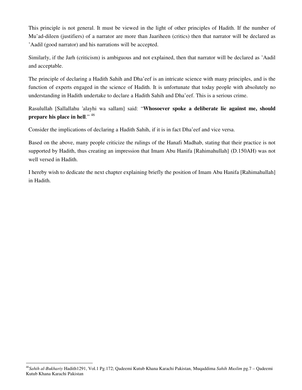This principle is not general. It must be viewed in the light of other principles of Hadith. If the number of Mu'ad-dileen (justifiers) of a narrator are more than Jaariheen (critics) then that narrator will be declared as 'Aadil (good narrator) and his narrations will be accepted.

Similarly, if the Jarh (criticism) is ambiguous and not explained, then that narrator will be declared as 'Aadil and acceptable.

The principle of declaring a Hadith Sahih and Dha'eef is an intricate science with many principles, and is the function of experts engaged in the science of Hadith. It is unfortunate that today people with absolutely no understanding in Hadith undertake to declare a Hadith Sahih and Dha'eef. This is a serious crime.

Rasulullah [Sallallahu 'alayhi wa sallam] said: "**Whosoever spoke a deliberate lie against me, should prepare his place in hell**." <sup>46</sup>

Consider the implications of declaring a Hadith Sahih, if it is in fact Dha'eef and vice versa.

Based on the above, many people criticize the rulings of the Hanafi Madhab, stating that their practice is not supported by Hadith, thus creating an impression that Imam Abu Hanifa [Rahimahullah] (D.150AH) was not well versed in Hadith.

I hereby wish to dedicate the next chapter explaining briefly the position of Imam Abu Hanifa [Rahimahullah] in Hadith.

<sup>46</sup>*Sahih al-Bukhariy* Hadith1291, Vol.1 Pg.172; Qadeemi Kutub Khana Karachi Pakistan, Muqaddima *Sahih Muslim* pg.7 – Qadeemi Kutub Khana Karachi Pakistan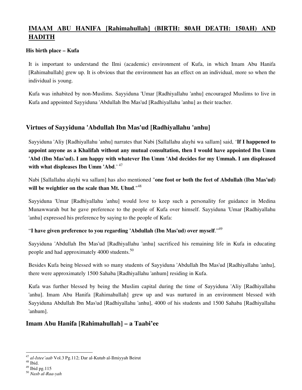# **IMAAM ABU HANIFA [Rahimahullah] (BIRTH: 80AH DEATH: 150AH) AND HADITH**

#### **His birth place – Kufa**

It is important to understand the Ilmi (academic) environment of Kufa, in which Imam Abu Hanifa [Rahimahullah] grew up. It is obvious that the environment has an effect on an individual, more so when the individual is young.

Kufa was inhabited by non-Muslims. Sayyiduna 'Umar [Radhiyallahu 'anhu] encouraged Muslims to live in Kufa and appointed Sayyiduna 'Abdullah Ibn Mas'ud [Radhiyallahu 'anhu] as their teacher.

# **Virtues of Sayyiduna 'Abdullah Ibn Mas'ud [Radhiyallahu 'anhu]**

Sayyiduna 'Aliy [Radhiyallahu 'anhu] narrates that Nabi [Sallallahu alayhi wa sallam] said, '**If I happened to appoint anyone as a Khalifah without any mutual consultation, then I would have appointed Ibn Umm 'Abd (Ibn Mas'ud). I am happy with whatever Ibn Umm 'Abd decides for my Ummah. I am displeased**  with what displeases Ibn Umm 'Abd.'<sup>47</sup>

Nabi [Sallallahu alayhi wa sallam] has also mentioned "**one foot or both the feet of Abdullah (Ibn Mas'ud) will be weightier on the scale than Mt. Uhud**."<sup>48</sup>

Sayyiduna 'Umar [Radhiyallahu 'anhu] would love to keep such a personality for guidance in Medina Munawwarah but he gave preference to the people of Kufa over himself. Sayyiduna 'Umar [Radhiyallahu 'anhu] expressed his preference by saying to the people of Kufa:

# "**I have given preference to you regarding 'Abdullah (Ibn Mas'ud) over myself**."<sup>49</sup>

Sayyiduna 'Abdullah Ibn Mas'ud [Radhiyallahu 'anhu] sacrificed his remaining life in Kufa in educating people and had approximately 4000 students.<sup>50</sup>

Besides Kufa being blessed with so many students of Sayyiduna 'Abdullah Ibn Mas'ud [Radhiyallahu 'anhu], there were approximately 1500 Sahaba [Radhiyallahu 'anhum] residing in Kufa.

Kufa was further blessed by being the Muslim capital during the time of Sayyiduna 'Aliy [Radhiyallahu 'anhu]. Imam Abu Hanifa [Rahimahullah] grew up and was nurtured in an environment blessed with Sayyiduna Abdullah Ibn Mas'ud [Radhiyallahu 'anhu], 4000 of his students and 1500 Sahaba [Radhiyallahu 'anhum].

# **Imam Abu Hanifa [Rahimahullah] – a Taabi'ee**

 $\overline{a}$ <sup>47</sup> *al-Istee'aab* Vol.3 Pg.112; Dar al-Kutub al-Ilmiyyah Beirut

 $48$  Ibid.

 $49$  Ibid pg. 115

<sup>50</sup> *Nasb al-Raa-yah*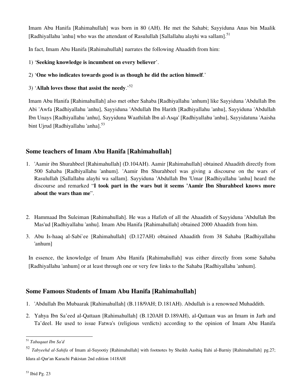Imam Abu Hanifa [Rahimahullah] was born in 80 (AH). He met the Sahabi; Sayyiduna Anas bin Maalik [Radhiyallahu 'anhu] who was the attendant of Rasulullah [Sallallahu alayhi wa sallam].<sup>51</sup>

In fact, Imam Abu Hanifa [Rahimahullah] narrates the following Ahaadith from him:

- 1) '**Seeking knowledge is incumbent on every believer**'.
- 2) '**One who indicates towards good is as though he did the action himself**.'
- 3) '**Allah loves those that assist the needy**.'<sup>52</sup>

Imam Abu Hanifa [Rahimahullah] also met other Sahaba [Radhiyallahu 'anhum] like Sayyiduna 'Abdullah Ibn Abi 'Awfa [Radhiyallahu 'anhu], Sayyiduna 'Abdullah Ibn Harith [Radhiyallahu 'anhu], Sayyiduna 'Abdullah Ibn Unays [Radhiyallahu 'anhu], Sayyiduna Waathilah Ibn al-Asqa' [Radhiyallahu 'anhu], Sayyidatuna 'Aaisha bint Uirud [Radhiyallahu 'anha].<sup>53</sup>

# **Some teachers of Imam Abu Hanifa [Rahimahullah]**

- 1. 'Aamir ibn Shurahbeel [Rahimahullah] (D.104AH). Aamir [Rahimahullah] obtained Ahaadith directly from 500 Sahaba [Radhiyallahu 'anhum]. 'Aamir Ibn Shurahbeel was giving a discourse on the wars of Rasulullah [Sallallahu alayhi wa sallam]. Sayyiduna 'Abdullah Ibn 'Umar [Radhiyallahu 'anhu] heard the discourse and remarked "**I took part in the wars but it seems 'Aamir Ibn Shurahbeel knows more about the wars than me**".
- 2. Hammaad Ibn Suleiman [Rahimahullah]. He was a Hafizh of all the Ahaadith of Sayyiduna 'Abdullah Ibn Mas'ud [Radhiyallahu 'anhu]. Imam Abu Hanifa [Rahimahullah] obtained 2000 Ahaadith from him.
- 3. Abu Is-haaq al-Sabi`ee [Rahimahullah] (D.127AH) obtained Ahaadith from 38 Sahaba [Radhiyallahu 'anhum]

In essence, the knowledge of Imam Abu Hanifa [Rahimahullah] was either directly from some Sahaba [Radhiyallahu 'anhum] or at least through one or very few links to the Sahaba [Radhiyallahu 'anhum].

# **Some Famous Students of Imam Abu Hanifa [Rahimahullah]**

- 1. 'Abdullah Ibn Mubaarak [Rahimahullah] (B.118/9AH; D.181AH). Abdullah is a renowned Muhaddith.
- 2. Yahya Ibn Sa'eed al-Qattaan [Rahimahullah] (B.120AH D.189AH), al-Qattaan was an Imam in Jarh and Ta'deel. He used to issue Fatwa's (religious verdicts) according to the opinion of Imam Abu Hanifa

 $\overline{a}$ <sup>51</sup> *Tabaqaat Ibn Sa'd*

<sup>52</sup> *Tabyeehd al-Sahifa* of Imam al-Suyootiy [Rahimahullah] with footnotes by Sheikh Aashiq Ilahi al-Barniy [Rahimahullah] pg.27; Idara al-Qur'an Karachi Pakistan 2nd edition 1418AH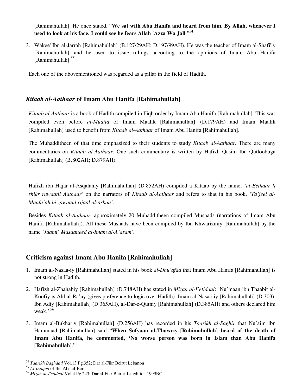[Rahimahullah]. He once stated, "**We sat with Abu Hanifa and heard from him. By Allah, whenever I used to look at his face, I could see he fears Allah 'Azza Wa Jall**."<sup>54</sup>

3. Wakee' Ibn al-Jarrah [Rahimahullah] (B.127/29AH; D.197/99AH). He was the teacher of Imam al-Shafi'iy [Rahimahullah] and he used to issue rulings according to the opinions of Imam Abu Hanifa [Rahimahullah].<sup>55</sup>

Each one of the abovementioned was regarded as a pillar in the field of Hadith.

# *Kitaab al-Aathaar* **of Imam Abu Hanifa [Rahimahullah]**

*Kitaab al-Aathaar* is a book of Hadith compiled in Fiqh order by Imam Abu Hanifa [Rahimahullah]. This was compiled even before *al-Muatta* of Imam Maalik [Rahimahullah] (D.179AH) and Imam Maalik [Rahimahullah] used to benefit from *Kitaab al-Aathaar* of Imam Abu Hanifa [Rahimahullah].

The Muhadditheen of that time emphasized to their students to study *Kitaab al-Aathaar*. There are many commentaries on *Kitaab al-Aathaar*. One such commentary is written by Hafizh Qasim Ibn Qutloobuga [Rahimahullah] (B.802AH; D.879AH).

Hafizh ibn Hajar al-Asqalaniy [Rahimahullah] (D.852AH) compiled a Kitaab by the name, *'al-Eethaar li zhikr ruwaatil Aathaar'* on the narrators of *Kitaab al-Aathaar* and refers to that in his book, *'Ta'jeel al-Manfa'ah bi zawaaid rijaal al-arbaa'*.

Besides *Kitaab al-Aathaar*, approximately 20 Muhadditheen compiled Musnads (narrations of Imam Abu Hanifa [Rahimahullah]). All these Musnads have been compiled by Ibn Khwarizmiy [Rahimahullah] by the name *'Jaami` Masaaneed al-Imam al-A'azam'.*

# **Criticism against Imam Abu Hanifa [Rahimahullah]**

- 1. Imam al-Nasaa-iy [Rahimahullah] stated in his book *al-Dhu'afaa* that Imam Abu Hanifa [Rahimahullah] is not strong in Hadith.
- 2. Hafizh al-Zhahabiy [Rahimahullah] (D.748AH) has stated in *Mizan al-I'etidaal*: 'Nu'maan ibn Thaabit al-Koofiy is Ahl al-Ra'ay (gives preference to logic over Hadith). Imam al-Nasaa-iy [Rahimahullah] (D.303), Ibn Adiy [Rahimahullah] (D.365AH), al-Dar-e-Qutniy [Rahimahullah] (D.385AH) and others declared him weak.<sup>56</sup>
- 3. Imam al-Bukhariy [Rahimahullah] (D.256AH) has recorded in his *Taarikh al-Saghir* that Nu'aim ibn Hammaad [Rahimahullah] said "**When Sufyaan al-Thawriy [Rahimahullah] heard of the death of Imam Abu Hanifa, he commented, 'No worse person was born in Islam than Abu Hanifa [Rahimahullah]**."

<sup>54</sup> *Taarikh Baghdad* Vol.13 Pg.352; Dar al-Fikr Beirut Lebanon

<sup>55</sup> *Al-Intiqaa* of Ibn Abd al-Barr

<sup>56</sup> *Mizan al-I'etidaal* Vol.4 Pg.243; Dar al-Fikr Beirut 1st edition 1999BC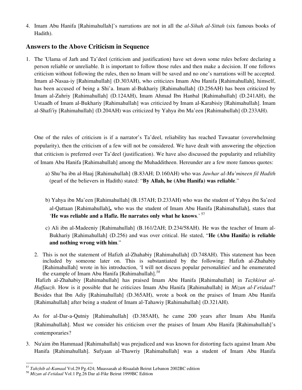4. Imam Abu Hanifa [Rahimahullah]'s narrations are not in all the *al-Sihah al-Sittah* (six famous books of Hadith).

# **Answers to the Above Criticism in Sequence**

1. The 'Ulama of Jarh and Ta'deel (criticism and justification) have set down some rules before declaring a person reliable or unreliable. It is important to follow those rules and then make a decision. If one follows criticism without following the rules, then no Imam will be saved and no one's narrations will be accepted. Imam al-Nasaa-iy [Rahimahullah] (D.303AH), who criticizes Imam Abu Hanifa [Rahimahullah], himself, has been accused of being a Shi'a. Imam al-Bukhariy [Rahimahullah] (D.256AH) has been criticized by Imam al-Zuhriy [Rahimahullah] (D.124AH), Imam Ahmad Ibn Hanbal [Rahimahullah] (D.241AH), the Ustaadh of Imam al-Bukhariy [Rahimahullah] was criticized by Imam al-Karabisiy [Rahimahullah]. Imam al-Shafi'iy [Rahimahullah] (D.204AH) was criticized by Yahya ibn Ma'een [Rahimahullah] (D.233AH).

One of the rules of criticism is if a narrator's Ta'deel, reliability has reached Tawaatur (overwhelming popularity), then the criticism of a few will not be considered. We have dealt with answering the objection that criticism is preferred over Ta'deel (justification). We have also discussed the popularity and reliability of Imam Abu Hanifa [Rahimahullah] among the Muhadditheen. Hereunder are a few more famous quotes:

- a) Shu'ba ibn al-Haaj [Rahimahullah] (B.83AH; D.160AH) who was *Jawhar al-Mu'mineen fil Hadith* (pearl of the believers in Hadith) stated: "**By Allah, he (Abu Hanifa) was reliable**."
- b) Yahya ibn Ma'een [Rahimahullah] (B.157AH; D.233AH) who was the student of Yahya ibn Sa'eed al-Qattaan [Rahimahullah]**,** who was the student of Imam Abu Hanifa [Rahimahullah], states that '**He was reliable and a Hafiz. He narrates only what he knows**.'<sup>57</sup>
- c) Ali ibn al-Madeeniy [Rahimahullah] (B.161/2AH; D.234/58AH). He was the teacher of Imam al-Bukhariy [Rahimahullah] (D.256) and was over critical. He stated, "**He (Abu Hanifa) is reliable and nothing wrong with him**."
- 2. This is not the statement of Hafizh al-Zhahabiy [Rahimahullah] (D.748AH). This statement has been included by someone later on. This is substantiated by the following: Hafizh al-Zhahabiy [Rahimahullah] wrote in his introduction, 'I will not discuss popular personalities' and he enumerated the example of Imam Abu Hanifa [Rahimahullah].*<sup>58</sup>*

 Hafizh al-Zhahabiy [Rahimahullah] has praised Imam Abu Hanifa [Rahimahullah] in *Tazhkirat al-Huffaazh*. How is it possible that he criticizes Imam Abu Hanifa [Rahimahullah] in *Mizan al-I'etidaal*? Besides that Ibn Adiy [Rahimahullah] (D.365AH), wrote a book on the praises of Imam Abu Hanifa [Rahimahullah] after being a student of Imam al-Tahawiy [Rahimahullah] (D.321AH).

 As for al-Dar-a-Qutniy [Rahimahullah] (D.385AH), he came 200 years after Imam Abu Hanifa [Rahimahullah]. Must we consider his criticism over the praises of Imam Abu Hanifa [Rahimahullah]'s contemporaries?

3. Nu'aim ibn Hammaad [Rahimahullah] was prejudiced and was known for distorting facts against Imam Abu Hanifa [Rahimahullah]. Sufyaan al-Thawriy [Rahimahullah] was a student of Imam Abu Hanifa

<sup>57</sup> *Tahzhib al-Kamaal* Vol.29 Pg.424; Muassasah al-Risaalah Beirut Lebanon 2002BC edition

<sup>58</sup> *Mizan al-I'etidaal* Vol.1 Pg.26 Dar al-Fikr Beirut 1999BC Edition